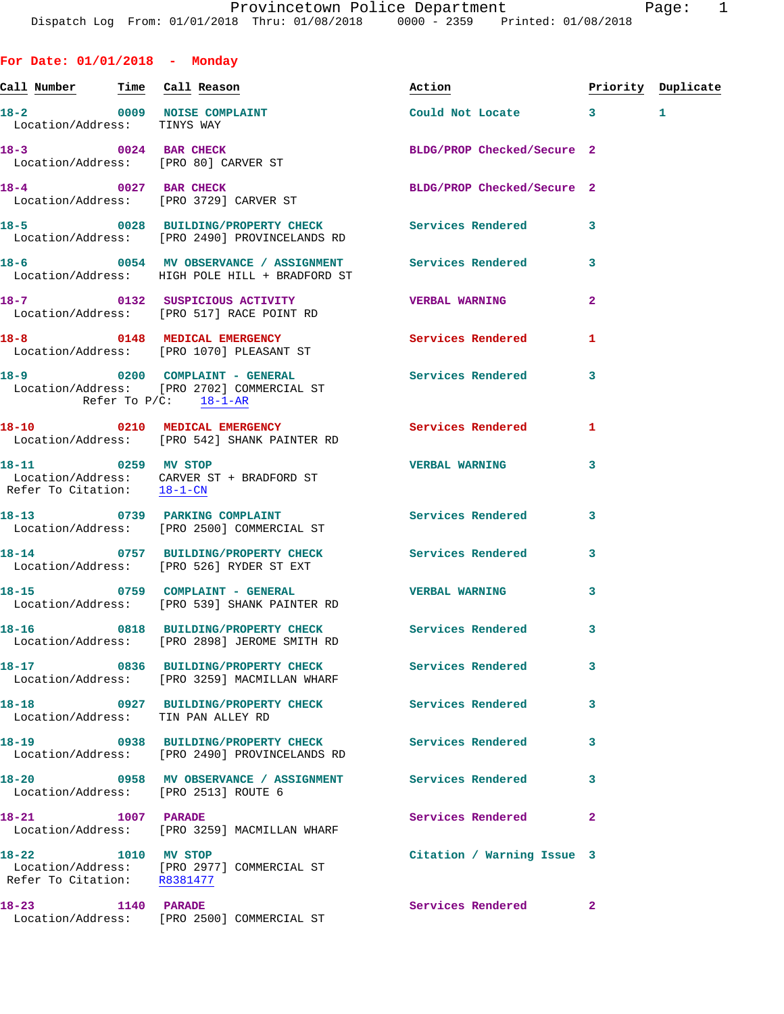**For Date: 01/01/2018 - Monday** Call Number Time Call Reason **Reason Action Action** Priority Duplicate **18-2 0009 NOISE COMPLAINT Could Not Locate 3 1**  Location/Address: TINYS WAY **18-3** 0024 BAR CHECK BLDG/PROP Checked/Secure 2 Location/Address: [PRO 80] CARVER ST **18-4** 0027 BAR CHECK BLDG/PROP Checked/Secure 2 Location/Address: [PRO 3729] CARVER ST **18-5 0028 BUILDING/PROPERTY CHECK Services Rendered 3**  Location/Address: [PRO 2490] PROVINCELANDS RD **18-6 0054 MV OBSERVANCE / ASSIGNMENT Services Rendered 3**  Location/Address: HIGH POLE HILL + BRADFORD ST **18-7 0132 SUSPICIOUS ACTIVITY VERBAL WARNING 2**  Location/Address: [PRO 517] RACE POINT RD **18-8 0148 MEDICAL EMERGENCY Services Rendered 1**  Location/Address: [PRO 1070] PLEASANT ST 18-9 0200 COMPLAINT - GENERAL **Services Rendered** 3 Location/Address: [PRO 2702] COMMERCIAL ST Refer To P/C: 18-1-AR **18-10 0210 MEDICAL EMERGENCY Services Rendered 1**  Location/Address: [PRO 542] SHANK PAINTER RD **18-11 0259 MV STOP VERBAL WARNING 3**  Location/Address: CARVER ST + BRADFORD ST Refer To Citation:  $\frac{18-1-CN}{2}$ **18-13 0739 PARKING COMPLAINT Services Rendered 3**  Location/Address: [PRO 2500] COMMERCIAL ST **18-14 0757 BUILDING/PROPERTY CHECK Services Rendered 3**  Location/Address: [PRO 526] RYDER ST EXT **18-15 0759 COMPLAINT - GENERAL VERBAL WARNING 3**  Location/Address: [PRO 539] SHANK PAINTER RD **18-16 0818 BUILDING/PROPERTY CHECK Services Rendered 3**  Location/Address: [PRO 2898] JEROME SMITH RD **18-17 0836 BUILDING/PROPERTY CHECK Services Rendered 3**  Location/Address: [PRO 3259] MACMILLAN WHARF **18-18 0927 BUILDING/PROPERTY CHECK Services Rendered 3**  Location/Address: TIN PAN ALLEY RD **18-19 0938 BUILDING/PROPERTY CHECK Services Rendered 3**  Location/Address: [PRO 2490] PROVINCELANDS RD **18-20 0958 MV OBSERVANCE / ASSIGNMENT Services Rendered 3**  Location/Address: [PRO 2513] ROUTE 6 **18-21 1007 PARADE Services Rendered 2**  Location/Address: [PRO 3259] MACMILLAN WHARF **18-22 1010 MV STOP Citation / Warning Issue 3**  Location/Address: [PRO 2977] COMMERCIAL ST

 Refer To Citation: R8381477 **18-23 1140 PARADE Services Rendered 2** 

Location/Address: [PRO 2500] COMMERCIAL ST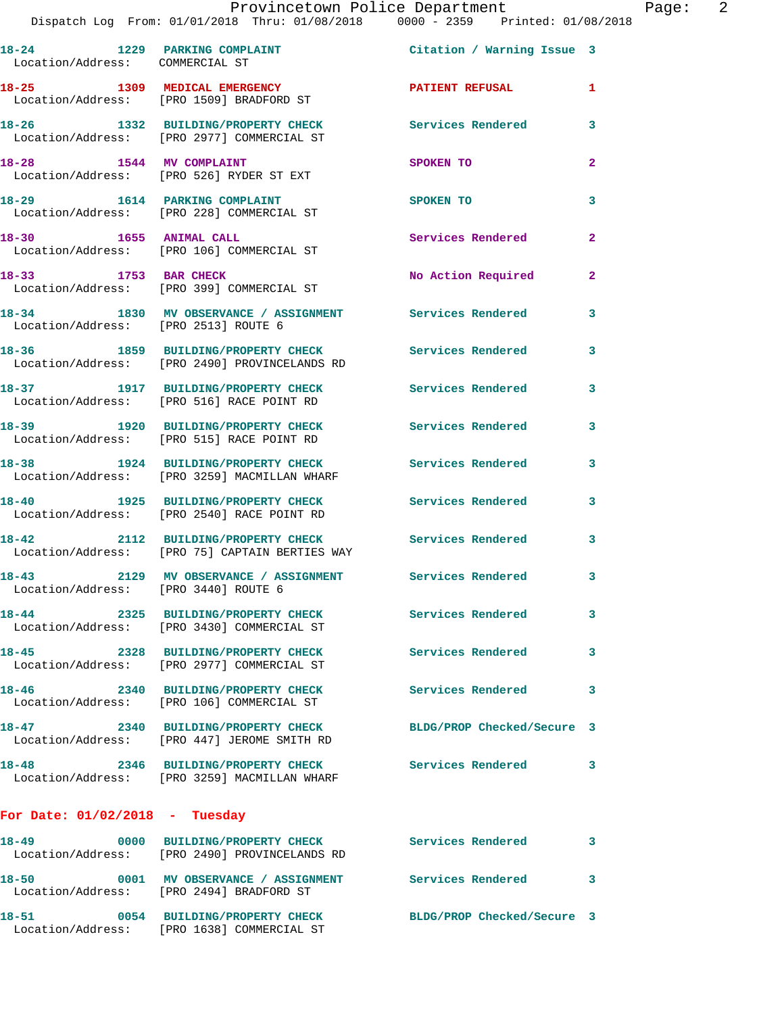| 18-24 1229 PARKING COMPLAINT<br>Location/Address: COMMERCIAL ST |                                                                                                      | Citation / Warning Issue 3 |                |
|-----------------------------------------------------------------|------------------------------------------------------------------------------------------------------|----------------------------|----------------|
|                                                                 | 18-25 1309 MEDICAL EMERGENCY<br>Location/Address: [PRO 1509] BRADFORD ST                             | <b>PATIENT REFUSAL</b>     | $\mathbf{1}$   |
|                                                                 | 18-26 1332 BUILDING/PROPERTY CHECK<br>Location/Address: [PRO 2977] COMMERCIAL ST                     | <b>Services Rendered</b>   | 3              |
| 18-28 1544 MV COMPLAINT                                         | Location/Address: [PRO 526] RYDER ST EXT                                                             | SPOKEN TO                  | $\overline{a}$ |
|                                                                 | 18-29 1614 PARKING COMPLAINT<br>Location/Address: [PRO 228] COMMERCIAL ST                            | SPOKEN TO                  | 3              |
| 18-30 1655 ANIMAL CALL                                          | Location/Address: [PRO 106] COMMERCIAL ST                                                            | Services Rendered          | $\overline{2}$ |
| 18-33 1753 BAR CHECK                                            | Location/Address: [PRO 399] COMMERCIAL ST                                                            | No Action Required         | $\mathbf{2}$   |
| Location/Address: [PRO 2513] ROUTE 6                            | 18-34 1830 MV OBSERVANCE / ASSIGNMENT Services Rendered                                              |                            | 3              |
|                                                                 | 18-36 1859 BUILDING/PROPERTY CHECK<br>Location/Address: [PRO 2490] PROVINCELANDS RD                  | <b>Services Rendered</b>   | 3              |
|                                                                 | 18-37 1917 BUILDING/PROPERTY CHECK<br>Location/Address: [PRO 516] RACE POINT RD                      | Services Rendered          | 3              |
| 18-39                                                           | 1920 BUILDING/PROPERTY CHECK<br>Location/Address: [PRO 515] RACE POINT RD                            | Services Rendered          | 3              |
|                                                                 | 18-38 1924 BUILDING/PROPERTY CHECK<br>Location/Address: [PRO 3259] MACMILLAN WHARF                   | <b>Services Rendered</b>   | 3              |
|                                                                 | 18-40 1925 BUILDING/PROPERTY CHECK<br>Location/Address: [PRO 2540] RACE POINT RD                     | <b>Services Rendered</b>   | 3              |
|                                                                 | 18-42 2112 BUILDING/PROPERTY CHECK<br>Location/Address: [PRO 75] CAPTAIN BERTIES WAY                 | <b>Services Rendered</b>   | 3              |
| Location/Address: [PRO 3440] ROUTE 6                            | 18-43 2129 MV OBSERVANCE / ASSIGNMENT Services Rendered                                              |                            | 3              |
|                                                                 | 18-44 2325 BUILDING/PROPERTY CHECK<br>Location/Address: [PRO 3430] COMMERCIAL ST                     | Services Rendered          | 3              |
| 18-45                                                           | 2328 BUILDING/PROPERTY CHECK<br>Location/Address: [PRO 2977] COMMERCIAL ST                           | <b>Services Rendered</b>   | 3              |
|                                                                 | 18-46 2340 BUILDING/PROPERTY CHECK<br>Location/Address: [PRO 106] COMMERCIAL ST                      | <b>Services Rendered</b>   | 3              |
| 18-47                                                           | 2340 BUILDING/PROPERTY CHECK<br>Location/Address: [PRO 447] JEROME SMITH RD                          | BLDG/PROP Checked/Secure 3 |                |
|                                                                 | 18-48 2346 BUILDING/PROPERTY CHECK Services Rendered<br>Location/Address: [PRO 3259] MACMILLAN WHARF |                            | 3              |
| For Date: $01/02/2018$ - Tuesday                                |                                                                                                      |                            |                |
|                                                                 | 18-49 0000 BUILDING/PROPERTY CHECK<br>Location/Address: [PRO 2490] PROVINCELANDS RD                  | <b>Services Rendered</b>   | 3              |
| 18-50                                                           | 0001 MV OBSERVANCE / ASSIGNMENT Services Rendered<br>Location/Address: [PRO 2494] BRADFORD ST        |                            | 3              |
|                                                                 | 18-51 0054 BUILDING/PROPERTY CHECK<br>Location/Address: [PRO 1638] COMMERCIAL ST                     | BLDG/PROP Checked/Secure 3 |                |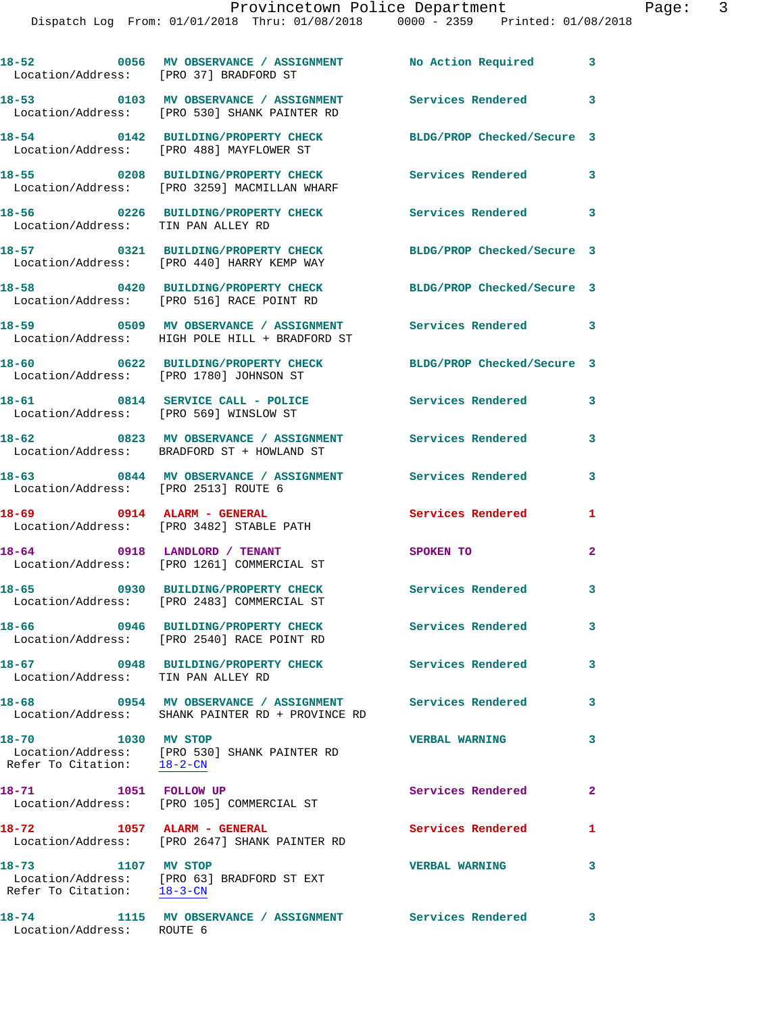| Location/Address: [PRO 37] BRADFORD ST           | 18-52 6056 MV OBSERVANCE / ASSIGNMENT No Action Required 3                                                     |                            |              |
|--------------------------------------------------|----------------------------------------------------------------------------------------------------------------|----------------------------|--------------|
|                                                  | 18-53 0103 MV OBSERVANCE / ASSIGNMENT Services Rendered 3<br>Location/Address: [PRO 530] SHANK PAINTER RD      |                            |              |
|                                                  | 18-54 0142 BUILDING/PROPERTY CHECK<br>Location/Address: [PRO 488] MAYFLOWER ST                                 | BLDG/PROP Checked/Secure 3 |              |
|                                                  | 18-55 0208 BUILDING/PROPERTY CHECK<br>Location/Address: [PRO 3259] MACMILLAN WHARF                             | Services Rendered          | 3            |
| Location/Address: TIN PAN ALLEY RD               | 18-56 6226 BUILDING/PROPERTY CHECK Services Rendered 3                                                         |                            |              |
|                                                  | 18-57 0321 BUILDING/PROPERTY CHECK BLDG/PROP Checked/Secure 3<br>Location/Address: [PRO 440] HARRY KEMP WAY    |                            |              |
|                                                  | 18-58 0420 BUILDING/PROPERTY CHECK<br>Location/Address: [PRO 516] RACE POINT RD                                | BLDG/PROP Checked/Secure 3 |              |
|                                                  | 18-59 		 0509 MV OBSERVANCE / ASSIGNMENT Services Rendered 3<br>Location/Address: HIGH POLE HILL + BRADFORD ST |                            |              |
| Location/Address: [PRO 1780] JOHNSON ST          | 18-60 0622 BUILDING/PROPERTY CHECK BLDG/PROP Checked/Secure 3                                                  |                            |              |
|                                                  | 18-61 0814 SERVICE CALL - POLICE<br>Location/Address: [PRO 569] WINSLOW ST                                     | Services Rendered          | 3            |
|                                                  | 18-62 0823 MV OBSERVANCE / ASSIGNMENT Services Rendered<br>Location/Address: BRADFORD ST + HOWLAND ST          |                            | 3            |
| Location/Address: [PRO 2513] ROUTE 6             | 18-63 0844 MV OBSERVANCE / ASSIGNMENT Services Rendered                                                        |                            | 3            |
| 18-69 0914 ALARM - GENERAL                       | Location/Address: [PRO 3482] STABLE PATH                                                                       | Services Rendered          | 1            |
|                                                  | 18-64 0918 LANDLORD / TENANT<br>Location/Address: [PRO 1261] COMMERCIAL ST                                     | <b>SPOKEN TO</b>           | $\mathbf{2}$ |
|                                                  | 18-65 0930 BUILDING/PROPERTY CHECK<br>Location/Address: [PRO 2483] COMMERCIAL ST                               | Services Rendered 3        |              |
|                                                  | 18-66 0946 BUILDING/PROPERTY CHECK<br>Location/Address: [PRO 2540] RACE POINT RD                               | Services Rendered          | 3            |
| Location/Address: TIN PAN ALLEY RD               | 18-67 6948 BUILDING/PROPERTY CHECK Services Rendered 3                                                         |                            |              |
|                                                  | 18-68 6954 MV OBSERVANCE / ASSIGNMENT Services Rendered<br>Location/Address: SHANK PAINTER RD + PROVINCE RD    |                            | 3            |
| 18-70 1030 MV STOP<br>Refer To Citation: 18-2-CN | Location/Address: [PRO 530] SHANK PAINTER RD                                                                   | <b>VERBAL WARNING</b>      | 3            |
| 1051 FOLLOW UP<br>18-71                          | Location/Address: [PRO 105] COMMERCIAL ST                                                                      | <b>Services Rendered</b>   | $\mathbf{2}$ |
| 18-72 1057 ALARM - GENERAL                       | Location/Address: [PRO 2647] SHANK PAINTER RD                                                                  | Services Rendered          | 1            |
| 18-73 1107 MV STOP                               | Location/Address: [PRO 63] BRADFORD ST EXT<br>Refer To Citation: $\frac{18-3-CN}{2}$                           | <b>VERBAL WARNING</b>      | 3            |
| Location/Address: ROUTE 6                        | 18-74 1115 MV OBSERVANCE / ASSIGNMENT Services Rendered                                                        |                            | 3            |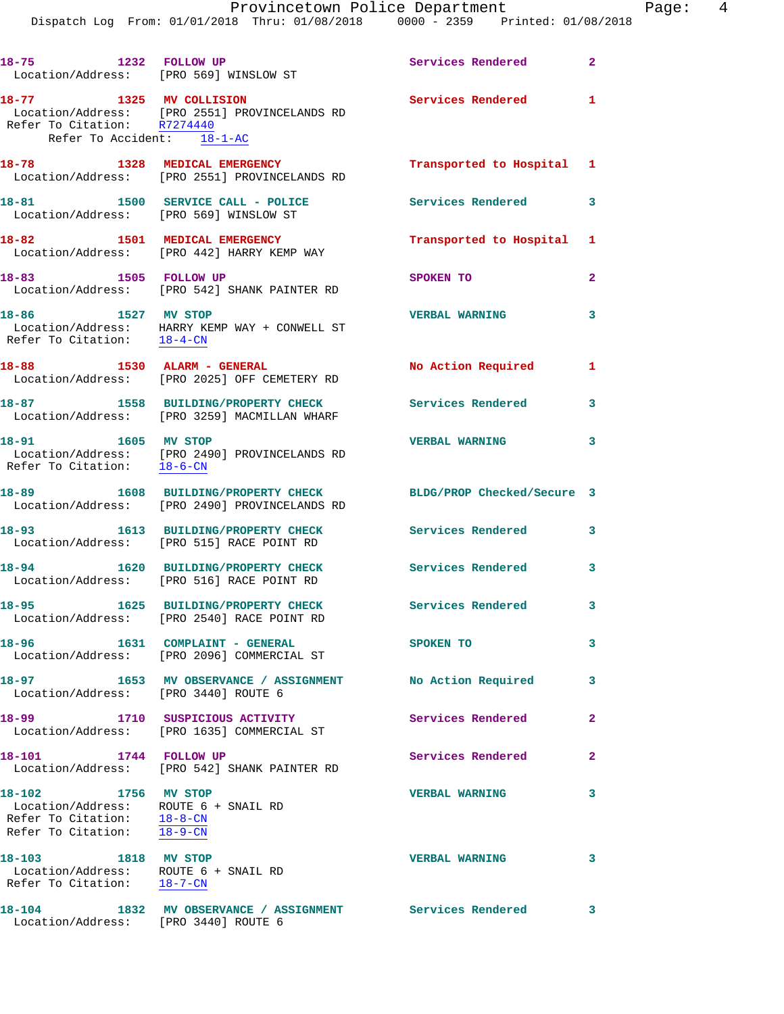| 18-75 1232 FOLLOW UP                                                                                                    | Location/Address: [PRO 569] WINSLOW ST                                              | Services Rendered 2        |                |
|-------------------------------------------------------------------------------------------------------------------------|-------------------------------------------------------------------------------------|----------------------------|----------------|
| 18-77 1325 MV COLLISION<br>Refer To Citation: R7274440<br>Refer To Accident: 18-1-AC                                    | Location/Address: [PRO 2551] PROVINCELANDS RD                                       | <b>Services Rendered</b> 1 |                |
|                                                                                                                         | 18-78 1328 MEDICAL EMERGENCY<br>Location/Address: [PRO 2551] PROVINCELANDS RD       | Transported to Hospital 1  |                |
| Location/Address: [PRO 569] WINSLOW ST                                                                                  | 18-81 1500 SERVICE CALL - POLICE                                                    | Services Rendered 3        |                |
|                                                                                                                         | 18-82 1501 MEDICAL EMERGENCY<br>Location/Address: [PRO 442] HARRY KEMP WAY          | Transported to Hospital 1  |                |
| 18-83 1505 FOLLOW UP                                                                                                    | Location/Address: [PRO 542] SHANK PAINTER RD                                        | SPOKEN TO                  | $\overline{2}$ |
| 18-86 1527 MV STOP<br>Refer To Citation: 18-4-CN                                                                        | Location/Address: HARRY KEMP WAY + CONWELL ST                                       | <b>VERBAL WARNING</b>      | 3              |
|                                                                                                                         | 18-88 1530 ALARM - GENERAL<br>Location/Address: [PRO 2025] OFF CEMETERY RD          | No Action Required 1       |                |
|                                                                                                                         | 18-87 1558 BUILDING/PROPERTY CHECK<br>Location/Address: [PRO 3259] MACMILLAN WHARF  | Services Rendered          | 3              |
| 18-91 1605 MV STOP<br>Refer To Citation: 18-6-CN                                                                        | Location/Address: [PRO 2490] PROVINCELANDS RD                                       | <b>VERBAL WARNING</b>      | 3              |
|                                                                                                                         | 18-89 1608 BUILDING/PROPERTY CHECK<br>Location/Address: [PRO 2490] PROVINCELANDS RD | BLDG/PROP Checked/Secure 3 |                |
|                                                                                                                         | 18-93 1613 BUILDING/PROPERTY CHECK<br>Location/Address: [PRO 515] RACE POINT RD     | Services Rendered 3        |                |
|                                                                                                                         | 18-94 1620 BUILDING/PROPERTY CHECK<br>Location/Address: [PRO 516] RACE POINT RD     | Services Rendered 3        |                |
|                                                                                                                         | Location/Address: [PRO 2540] RACE POINT RD                                          | Services Rendered          |                |
|                                                                                                                         | 18-96 1631 COMPLAINT - GENERAL<br>Location/Address: [PRO 2096] COMMERCIAL ST        | SPOKEN TO                  | 3              |
| Location/Address: [PRO 3440] ROUTE 6                                                                                    | 18-97 1653 MV OBSERVANCE / ASSIGNMENT No Action Required                            |                            | 3              |
|                                                                                                                         | 18-99 1710 SUSPICIOUS ACTIVITY<br>Location/Address: [PRO 1635] COMMERCIAL ST        | Services Rendered          | $\mathbf{2}$   |
| 18-101 1744 FOLLOW UP                                                                                                   | Location/Address: [PRO 542] SHANK PAINTER RD                                        | Services Rendered          | $\overline{2}$ |
| 18-102 1756 MV STOP<br>Location/Address: ROUTE 6 + SNAIL RD<br>Refer To Citation: 18-8-CN<br>Refer To Citation: 18-9-CN |                                                                                     | <b>VERBAL WARNING</b>      | 3              |
| 18-103 1818 MV STOP<br>Location/Address: ROUTE 6 + SNAIL RD<br>Refer To Citation: $\frac{18-7-CN}{}$                    |                                                                                     | <b>VERBAL WARNING</b>      | 3              |
| 18-104<br>Location/Address: [PRO 3440] ROUTE 6                                                                          | 1832 MV OBSERVANCE / ASSIGNMENT Services Rendered 3                                 |                            |                |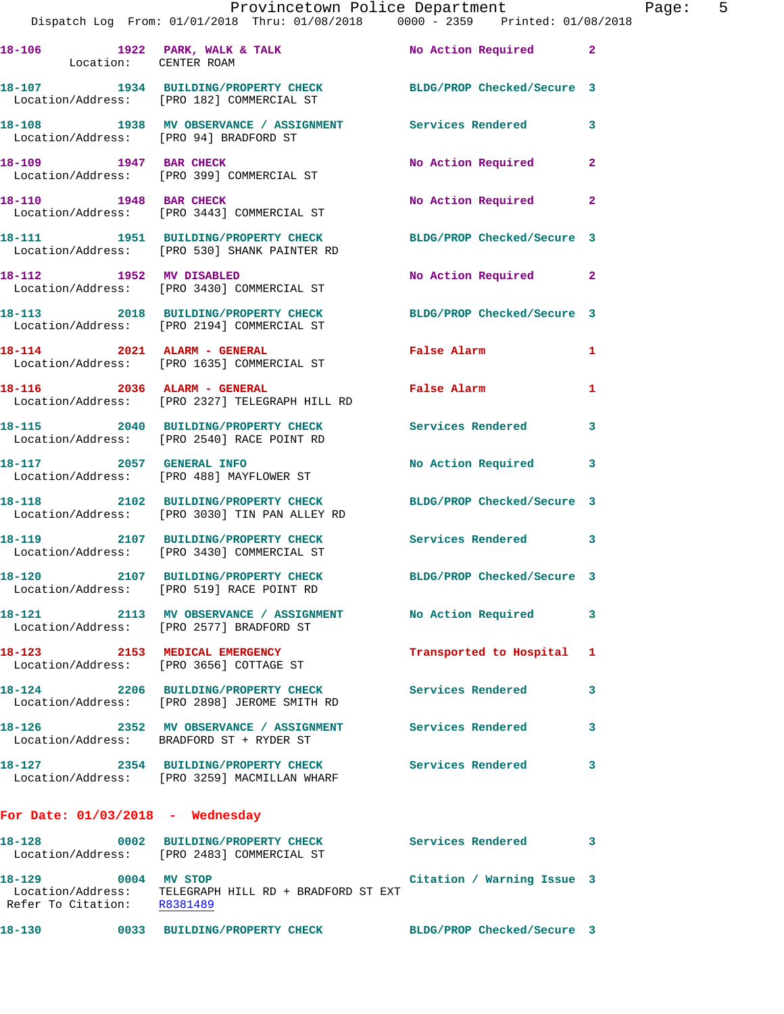|                                                    | Provincetown Police Department                                                                                  |                            |                |
|----------------------------------------------------|-----------------------------------------------------------------------------------------------------------------|----------------------------|----------------|
|                                                    | Dispatch Log From: 01/01/2018 Thru: 01/08/2018   0000 - 2359   Printed: 01/08/2018                              |                            |                |
| Location: CENTER ROAM                              | 18-106 1922 PARK, WALK & TALK NO Action Required                                                                |                            | $\overline{2}$ |
|                                                    | 18-107 1934 BUILDING/PROPERTY CHECK BLDG/PROP Checked/Secure 3<br>Location/Address: [PRO 182] COMMERCIAL ST     |                            |                |
| Location/Address: [PRO 94] BRADFORD ST             | 18-108 1938 MV OBSERVANCE / ASSIGNMENT Services Rendered                                                        |                            | 3              |
| 18-109 1947 BAR CHECK                              | Location/Address: [PRO 399] COMMERCIAL ST                                                                       | No Action Required         | $\mathbf{2}$   |
|                                                    | 18-110 1948 BAR CHECK<br>Location/Address: [PRO 3443] COMMERCIAL ST                                             | No Action Required         | $\mathbf{2}$   |
|                                                    | 18-111 1951 BUILDING/PROPERTY CHECK BLDG/PROP Checked/Secure 3<br>Location/Address: [PRO 530] SHANK PAINTER RD  |                            |                |
|                                                    | 18-112 1952 MV DISABLED<br>Location/Address: [PRO 3430] COMMERCIAL ST                                           | No Action Required         | $\mathbf{2}$   |
|                                                    | 18-113 2018 BUILDING/PROPERTY CHECK BLDG/PROP Checked/Secure 3<br>Location/Address: [PRO 2194] COMMERCIAL ST    |                            |                |
|                                                    | 18-114 2021 ALARM - GENERAL<br>Location/Address: [PRO 1635] COMMERCIAL ST                                       | False Alarm                | 1              |
|                                                    | 18-116 2036 ALARM - GENERAL<br>Location/Address: [PRO 2327] TELEGRAPH HILL RD                                   | False Alarm                | 1              |
|                                                    | 18-115 2040 BUILDING/PROPERTY CHECK Services Rendered<br>Location/Address: [PRO 2540] RACE POINT RD             |                            | 3              |
|                                                    | 18-117 2057 GENERAL INFO<br>Location/Address: [PRO 488] MAYFLOWER ST                                            | No Action Required         | 3              |
|                                                    | 18-118 2102 BUILDING/PROPERTY CHECK BLDG/PROP Checked/Secure 3<br>Location/Address: [PRO 3030] TIN PAN ALLEY RD |                            |                |
|                                                    | 18-119 2107 BUILDING/PROPERTY CHECK Services Rendered<br>Location/Address: [PRO 3430] COMMERCIAL ST             |                            | 3              |
|                                                    | 18-120 2107 BUILDING/PROPERTY CHECK<br>Location/Address: [PRO 519] RACE POINT RD                                | BLDG/PROP Checked/Secure 3 |                |
|                                                    | 18-121 2113 MV OBSERVANCE / ASSIGNMENT No Action Required<br>Location/Address: [PRO 2577] BRADFORD ST           |                            | 3              |
| 18-123 2153 MEDICAL EMERGENCY                      | Location/Address: [PRO 3656] COTTAGE ST                                                                         | Transported to Hospital    | 1              |
|                                                    | 18-124 2206 BUILDING/PROPERTY CHECK<br>Location/Address: [PRO 2898] JEROME SMITH RD                             | <b>Services Rendered</b>   | 3              |
|                                                    | 18-126 			 2352 MV OBSERVANCE / ASSIGNMENT Services Rendered<br>Location/Address: BRADFORD ST + RYDER ST        |                            | 3              |
|                                                    | 18-127 2354 BUILDING/PROPERTY CHECK Services Rendered<br>Location/Address: [PRO 3259] MACMILLAN WHARF           |                            | 3              |
| For Date: $01/03/2018$ - Wednesday                 |                                                                                                                 |                            |                |
|                                                    | 18-128 		 0002 BUILDING/PROPERTY CHECK Services Rendered<br>Location/Address: [PRO 2483] COMMERCIAL ST          |                            | 3              |
| 18-129 0004 MV STOP<br>Refer To Citation: R8381489 | Location/Address: TELEGRAPH HILL RD + BRADFORD ST EXT                                                           | Citation / Warning Issue 3 |                |

**18-130 0033 BUILDING/PROPERTY CHECK BLDG/PROP Checked/Secure 3** 

Page:  $5<sub>18</sub>$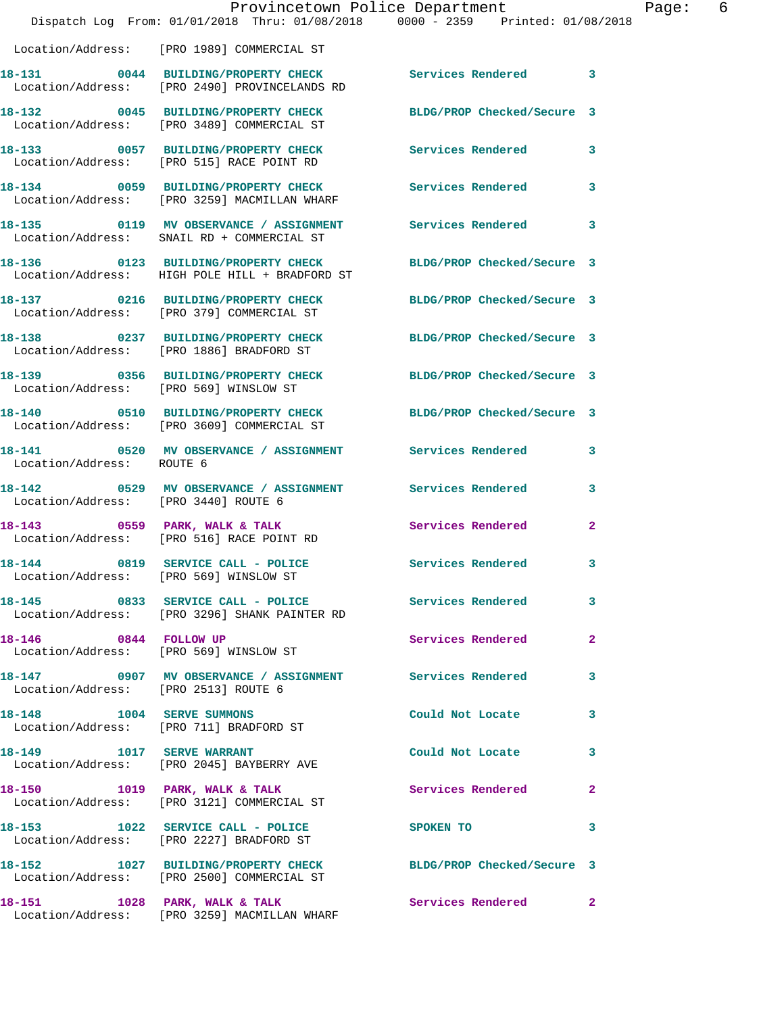|                                        | Dispatch Log From: 01/01/2018 Thru: 01/08/2018 0000 - 2359 Printed: 01/08/2018                                   | Provincetown Police Department | Page: 6      |  |
|----------------------------------------|------------------------------------------------------------------------------------------------------------------|--------------------------------|--------------|--|
|                                        | Location/Address: [PRO 1989] COMMERCIAL ST                                                                       |                                |              |  |
|                                        | 18-131 0044 BUILDING/PROPERTY CHECK Services Rendered 3<br>Location/Address: [PRO 2490] PROVINCELANDS RD         |                                |              |  |
|                                        | 18-132 0045 BUILDING/PROPERTY CHECK BLDG/PROP Checked/Secure 3<br>Location/Address: [PRO 3489] COMMERCIAL ST     |                                |              |  |
|                                        | 18-133 0057 BUILDING/PROPERTY CHECK Services Rendered 3<br>Location/Address: [PRO 515] RACE POINT RD             |                                |              |  |
|                                        | 18-134 0059 BUILDING/PROPERTY CHECK Services Rendered 3<br>Location/Address: [PRO 3259] MACMILLAN WHARF          |                                |              |  |
|                                        |                                                                                                                  |                                |              |  |
|                                        | 18-136 0123 BUILDING/PROPERTY CHECK BLDG/PROP Checked/Secure 3<br>Location/Address: HIGH POLE HILL + BRADFORD ST |                                |              |  |
|                                        | 18-137 0216 BUILDING/PROPERTY CHECK BLDG/PROP Checked/Secure 3<br>Location/Address: [PRO 379] COMMERCIAL ST      |                                |              |  |
|                                        | 18-138 0237 BUILDING/PROPERTY CHECK<br>Location/Address: [PRO 1886] BRADFORD ST                                  | BLDG/PROP Checked/Secure 3     |              |  |
| Location/Address: [PRO 569] WINSLOW ST | 18-139 0356 BUILDING/PROPERTY CHECK BLDG/PROP Checked/Secure 3                                                   |                                |              |  |
|                                        | 18-140 0510 BUILDING/PROPERTY CHECK BLDG/PROP Checked/Secure 3<br>Location/Address: [PRO 3609] COMMERCIAL ST     |                                |              |  |
| Location/Address: ROUTE 6              | 18-141 0520 MV OBSERVANCE / ASSIGNMENT Services Rendered 3                                                       |                                |              |  |
| Location/Address: [PRO 3440] ROUTE 6   | 18-142 0529 MV OBSERVANCE / ASSIGNMENT Services Rendered                                                         |                                | 3            |  |
|                                        | 18-143 0559 PARK, WALK & TALK 3 Services Rendered<br>Location/Address: [PRO 516] RACE POINT RD                   |                                | $\mathbf{2}$ |  |
| Location/Address: [PRO 569] WINSLOW ST | 18-144 0819 SERVICE CALL - POLICE                                                                                | <b>Services Rendered</b>       | 3            |  |
|                                        | 18-145 		 0833 SERVICE CALL - POLICE 		 Services Rendered 3<br>Location/Address: [PRO 3296] SHANK PAINTER RD     |                                |              |  |
|                                        | 18-146 0844 FOLLOW UP<br>Location/Address: [PRO 569] WINSLOW ST                                                  | Services Rendered              | $\mathbf{2}$ |  |
| Location/Address: [PRO 2513] ROUTE 6   | 18-147 0907 MV OBSERVANCE / ASSIGNMENT Services Rendered 3                                                       |                                |              |  |
|                                        | 18-148 1004 SERVE SUMMONS<br>Location/Address: [PRO 711] BRADFORD ST                                             | Could Not Locate 3             |              |  |
|                                        | 18-149 1017 SERVE WARRANT<br>Location/Address: [PRO 2045] BAYBERRY AVE                                           | Could Not Locate 3             |              |  |
|                                        | 18-150 1019 PARK, WALK & TALK<br>Location/Address: [PRO 3121] COMMERCIAL ST                                      | Services Rendered              | $\mathbf{2}$ |  |
|                                        | 18-153 1022 SERVICE CALL - POLICE SPOKEN TO<br>Location/Address: [PRO 2227] BRADFORD ST                          |                                | $\mathbf{3}$ |  |
|                                        | 18-152 1027 BUILDING/PROPERTY CHECK BLDG/PROP Checked/Secure 3<br>Location/Address: [PRO 2500] COMMERCIAL ST     |                                |              |  |
|                                        | 18-151 1028 PARK, WALK & TALK<br>Location/Address: [PRO 3259] MACMILLAN WHARF                                    | Services Rendered 2            |              |  |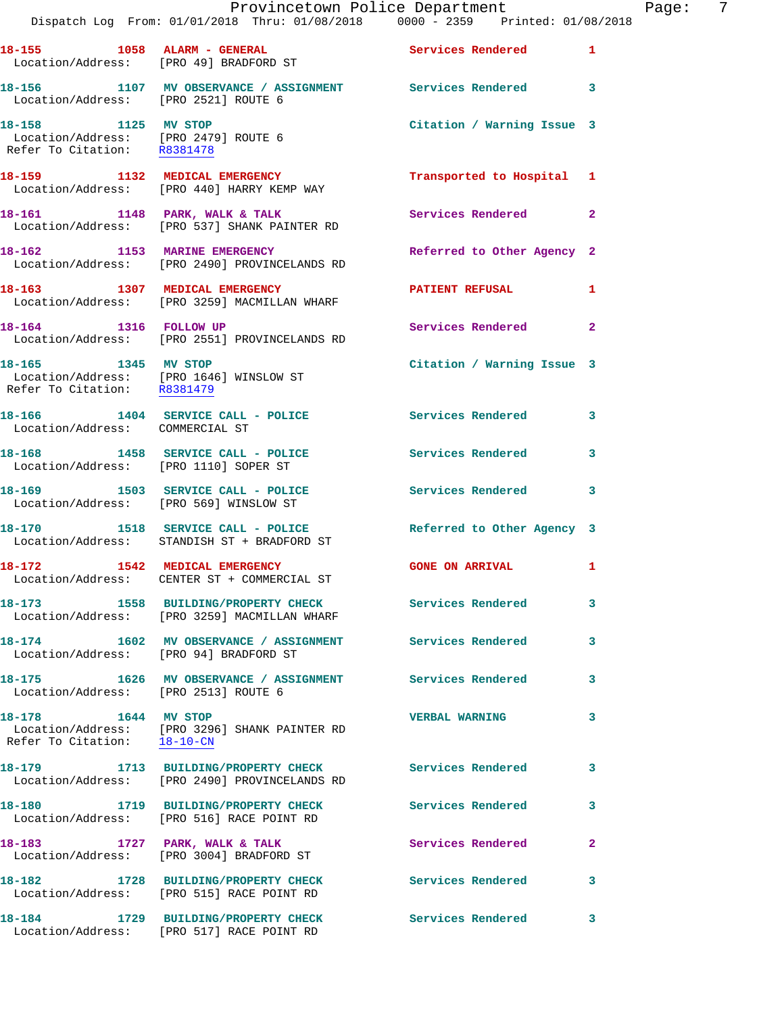Location/Address: [PRO 2521] ROUTE 6 **18-158 1125 MV STOP Citation / Warning Issue 3**  Location/Address: [PRO 2479] ROUTE 6 Refer To Citation: R8381478

**18-156 1107 MV OBSERVANCE / ASSIGNMENT Services Rendered 3** 

**18-159 1132 MEDICAL EMERGENCY Transported to Hospital 1**  Location/Address: [PRO 440] HARRY KEMP WAY

18-161 **1148 PARK, WALK & TALK 3** Services Rendered 2 Location/Address: [PRO 537] SHANK PAINTER RD

**18-162 1153 MARINE EMERGENCY Referred to Other Agency 2**  Location/Address: [PRO 2490] PROVINCELANDS RD

**18-163** 1307 MEDICAL EMERGENCY **1201** PATIENT REFUSAL 1 Location/Address: [PRO 3259] MACMILLAN WHARF

**18-164 1316 FOLLOW UP Services Rendered 2**  Location/Address: [PRO 2551] PROVINCELANDS RD

 Location/Address: [PRO 1646] WINSLOW ST Refer To Citation: R8381479

Location/Address: COMMERCIAL ST

Location/Address: [PRO 569] WINSLOW ST

Location/Address: STANDISH ST + BRADFORD ST

Refer To Citation: 18-10-CN

**18-182 1728 BUILDING/PROPERTY CHECK Services Rendered 3** 

Location/Address: [PRO 1110] SOPER ST

Location/Address: CENTER ST + COMMERCIAL ST

**18-173 1558 BUILDING/PROPERTY CHECK Services Rendered 3**  Location/Address: [PRO 3259] MACMILLAN WHARF

**18-174 1602 MV OBSERVANCE / ASSIGNMENT Services Rendered 3**  Location/Address: [PRO 94] BRADFORD ST

**18-175 1626 MV OBSERVANCE / ASSIGNMENT Services Rendered 3**  Location/Address: [PRO 2513] ROUTE 6

**18-178 1644 MV STOP VERBAL WARNING 3**  Location/Address: [PRO 3296] SHANK PAINTER RD

Location/Address: [PRO 2490] PROVINCELANDS RD

Location/Address: [PRO 516] RACE POINT RD

Location/Address: [PRO 3004] BRADFORD ST

**18-184 1729 BUILDING/PROPERTY CHECK Services Rendered 3**  Location/Address: [PRO 517] RACE POINT RD

**18-165 1345 MV STOP Citation / Warning Issue 3** 

**18-166 1404 SERVICE CALL - POLICE Services Rendered 3** 

18-168 **1458** SERVICE CALL - POLICE Services Rendered 3

**18-169 1503 SERVICE CALL - POLICE Services Rendered 3** 

**18-170 1518 SERVICE CALL - POLICE Referred to Other Agency 3** 

**18-172 1542 MEDICAL EMERGENCY 60NE ON ARRIVAL 11** 

**18-179 1713 BUILDING/PROPERTY CHECK Services Rendered 3** 

**18-180 1719 BUILDING/PROPERTY CHECK Services Rendered 3** 

18-183 1727 PARK, WALK & TALK **1899 Services Rendered** 2

Location/Address: [PRO 515] RACE POINT RD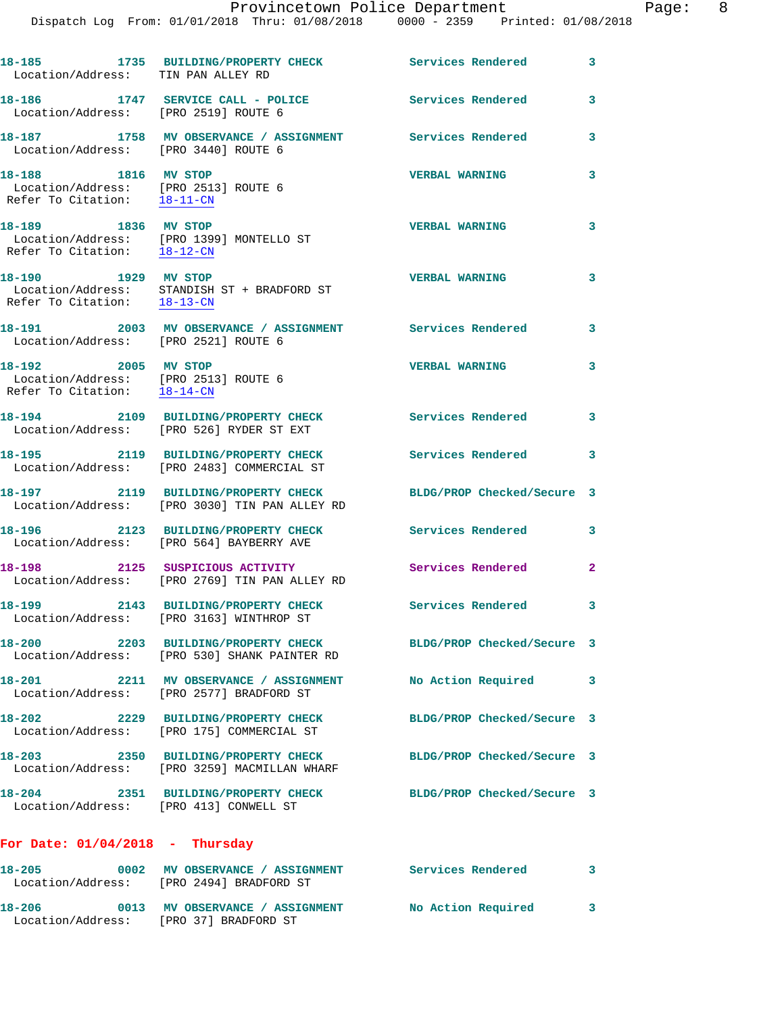| Location/Address: TIN PAN ALLEY RD                                                         | 18-185 1735 BUILDING/PROPERTY CHECK                                                                 | Services Rendered          | 3                          |
|--------------------------------------------------------------------------------------------|-----------------------------------------------------------------------------------------------------|----------------------------|----------------------------|
|                                                                                            | 18-186 1747 SERVICE CALL - POLICE<br>Location/Address: [PRO 2519] ROUTE 6                           | Services Rendered          | 3                          |
| Location/Address: [PRO 3440] ROUTE 6                                                       | 18-187 1758 MV OBSERVANCE / ASSIGNMENT Services Rendered                                            |                            | 3                          |
| 18-188 1816 MV STOP<br>Location/Address: [PRO 2513] ROUTE 6<br>Refer To Citation: 18-11-CN |                                                                                                     | <b>VERBAL WARNING</b>      | 3                          |
| 18-189 1836 MV STOP                                                                        | Location/Address: [PRO 1399] MONTELLO ST<br>Refer To Citation: $18-12$ -CN                          | <b>VERBAL WARNING</b>      | 3                          |
| 18-190 1929 MV STOP<br>Refer To Citation: 18-13-CN                                         | Location/Address: STANDISH ST + BRADFORD ST                                                         | <b>VERBAL WARNING</b>      | 3                          |
| Location/Address: [PRO 2521] ROUTE 6                                                       | 18-191 2003 MV OBSERVANCE / ASSIGNMENT Services Rendered                                            |                            | $\overline{\phantom{a}}$ 3 |
| 18-192 2005 MV STOP<br>Location/Address: [PRO 2513] ROUTE 6<br>Refer To Citation: 18-14-CN |                                                                                                     | <b>VERBAL WARNING</b>      | 3                          |
|                                                                                            | 18-194 2109 BUILDING/PROPERTY CHECK Services Rendered 3<br>Location/Address: [PRO 526] RYDER ST EXT |                            |                            |
|                                                                                            | 18-195 2119 BUILDING/PROPERTY CHECK<br>Location/Address: [PRO 2483] COMMERCIAL ST                   | <b>Services Rendered</b>   | 3                          |
|                                                                                            | 18-197 2119 BUILDING/PROPERTY CHECK<br>Location/Address: [PRO 3030] TIN PAN ALLEY RD                | BLDG/PROP Checked/Secure 3 |                            |
|                                                                                            | 18-196 2123 BUILDING/PROPERTY CHECK<br>Location/Address: [PRO 564] BAYBERRY AVE                     | <b>Services Rendered</b>   | 3                          |
|                                                                                            | 18-198 2125 SUSPICIOUS ACTIVITY<br>Location/Address: [PRO 2769] TIN PAN ALLEY RD                    | <b>Services Rendered</b>   | $\mathbf{2}$               |
|                                                                                            | 18-199 2143 BUILDING/PROPERTY CHECK<br>Location/Address: [PRO 3163] WINTHROP ST                     | Services Rendered          | $\overline{\mathbf{3}}$    |
| 18-200                                                                                     | 2203 BUILDING/PROPERTY CHECK<br>Location/Address: [PRO 530] SHANK PAINTER RD                        | BLDG/PROP Checked/Secure 3 |                            |
|                                                                                            | 18-201 2211 MV OBSERVANCE / ASSIGNMENT<br>Location/Address: [PRO 2577] BRADFORD ST                  | No Action Required         | 3                          |
| 18-202                                                                                     | 2229 BUILDING/PROPERTY CHECK<br>Location/Address: [PRO 175] COMMERCIAL ST                           | BLDG/PROP Checked/Secure 3 |                            |
|                                                                                            | 18-203 2350 BUILDING/PROPERTY CHECK<br>Location/Address: [PRO 3259] MACMILLAN WHARF                 | BLDG/PROP Checked/Secure 3 |                            |
| 18-204<br>Location/Address: [PRO 413] CONWELL ST                                           | 2351 BUILDING/PROPERTY CHECK                                                                        | BLDG/PROP Checked/Secure 3 |                            |
| For Date: $01/04/2018$ - Thursday                                                          |                                                                                                     |                            |                            |
| $18 - 205$                                                                                 | 0002 MV OBSERVANCE / ASSIGNMENT Services Rendered 3<br>Location/Address: [PRO 2494] BRADFORD ST     |                            |                            |

**18-206 0013 MV OBSERVANCE / ASSIGNMENT No Action Required 3**  Location/Address: [PRO 37] BRADFORD ST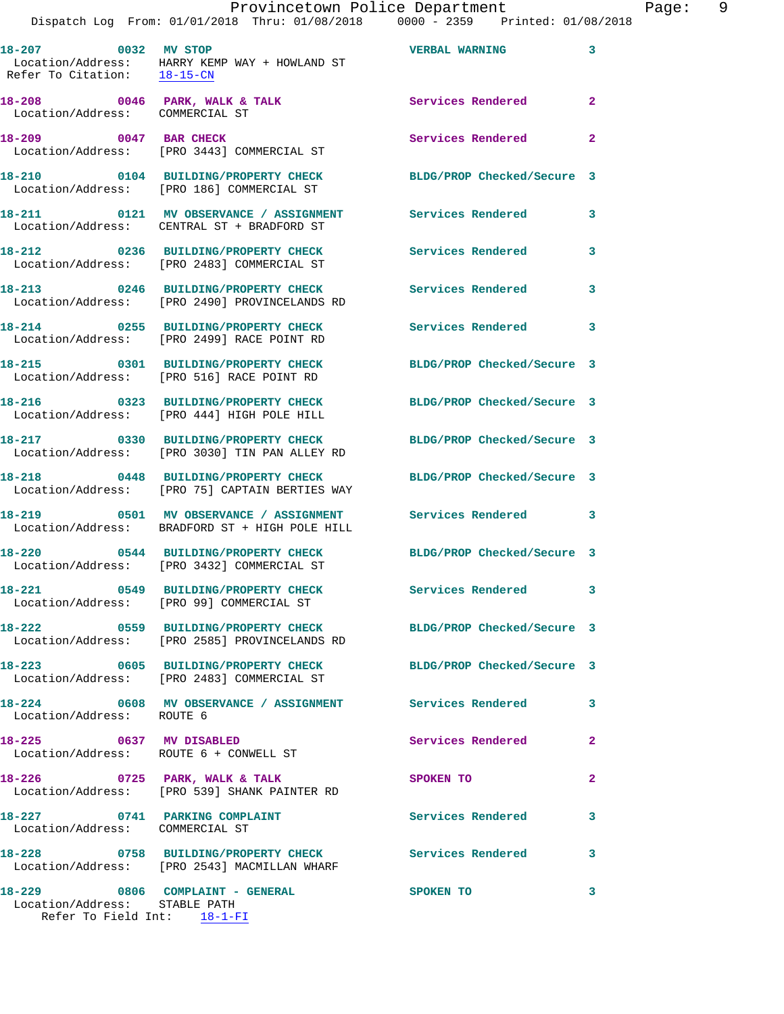|                                                    |  |  | Provincetown Police Department |                                 | Page: | - 9 |
|----------------------------------------------------|--|--|--------------------------------|---------------------------------|-------|-----|
| Dispatch Log From: $01/01/2018$ Thru: $01/08/2018$ |  |  |                                | 0000 - 2359 Printed: 01/08/2018 |       |     |

| 18-207 0032 MV STOP<br>Refer To Citation: 18-15-CN                | Location/Address: HARRY KEMP WAY + HOWLAND ST                                            | <b>VERBAL WARNING</b>      | 3            |
|-------------------------------------------------------------------|------------------------------------------------------------------------------------------|----------------------------|--------------|
| 18-208 0046 PARK, WALK & TALK<br>Location/Address: COMMERCIAL ST  |                                                                                          | Services Rendered          | 2            |
|                                                                   | 18-209 0047 BAR CHECK<br>Location/Address: [PRO 3443] COMMERCIAL ST                      | Services Rendered          | $\mathbf{2}$ |
| 18-210                                                            | 0104 BUILDING/PROPERTY CHECK<br>Location/Address: [PRO 186] COMMERCIAL ST                | BLDG/PROP Checked/Secure 3 |              |
|                                                                   | 18-211 0121 MV OBSERVANCE / ASSIGNMENT<br>Location/Address: CENTRAL ST + BRADFORD ST     | Services Rendered          | 3            |
| 18-212                                                            | 0236 BUILDING/PROPERTY CHECK<br>Location/Address: [PRO 2483] COMMERCIAL ST               | Services Rendered          | 3            |
|                                                                   | 18-213 0246 BUILDING/PROPERTY CHECK<br>Location/Address: [PRO 2490] PROVINCELANDS RD     | Services Rendered          | 3            |
|                                                                   | 18-214 0255 BUILDING/PROPERTY CHECK<br>Location/Address: [PRO 2499] RACE POINT RD        | Services Rendered          | 3            |
|                                                                   | 18-215 0301 BUILDING/PROPERTY CHECK<br>Location/Address: [PRO 516] RACE POINT RD         | BLDG/PROP Checked/Secure 3 |              |
|                                                                   | 18-216 0323 BUILDING/PROPERTY CHECK<br>Location/Address: [PRO 444] HIGH POLE HILL        | BLDG/PROP Checked/Secure 3 |              |
|                                                                   | 18-217 0330 BUILDING/PROPERTY CHECK<br>Location/Address: [PRO 3030] TIN PAN ALLEY RD     | BLDG/PROP Checked/Secure 3 |              |
|                                                                   | 18-218 0448 BUILDING/PROPERTY CHECK<br>Location/Address: [PRO 75] CAPTAIN BERTIES WAY    | BLDG/PROP Checked/Secure 3 |              |
|                                                                   | 18-219 0501 MV OBSERVANCE / ASSIGNMENT<br>Location/Address: BRADFORD ST + HIGH POLE HILL | Services Rendered          | 3            |
|                                                                   | 18-220 0544 BUILDING/PROPERTY CHECK<br>Location/Address: [PRO 3432] COMMERCIAL ST        | BLDG/PROP Checked/Secure 3 |              |
| 18-221                                                            | 0549 BUILDING/PROPERTY CHECK<br>Location/Address: [PRO 99] COMMERCIAL ST                 | Services Rendered          | 3            |
| 18-222                                                            | 0559 BUILDING/PROPERTY CHECK<br>Location/Address: [PRO 2585] PROVINCELANDS RD            | BLDG/PROP Checked/Secure 3 |              |
|                                                                   | 18-223 0605 BUILDING/PROPERTY CHECK<br>Location/Address: [PRO 2483] COMMERCIAL ST        | BLDG/PROP Checked/Secure 3 |              |
| Location/Address: ROUTE 6                                         | 18-224 0608 MV OBSERVANCE / ASSIGNMENT Services Rendered                                 |                            | 3            |
| 18-225 0637 MV DISABLED<br>Location/Address: ROUTE 6 + CONWELL ST |                                                                                          | <b>Services Rendered</b>   | $\mathbf{2}$ |
|                                                                   | 18-226 0725 PARK, WALK & TALK<br>Location/Address: [PRO 539] SHANK PAINTER RD            | SPOKEN TO                  | 2            |
| 18-227 0741 PARKING COMPLAINT<br>Location/Address: COMMERCIAL ST  |                                                                                          | Services Rendered          | 3            |
|                                                                   | 18-228 0758 BUILDING/PROPERTY CHECK<br>Location/Address: [PRO 2543] MACMILLAN WHARF      | <b>Services Rendered</b>   | 3            |
| Location/Address: STABLE PATH                                     | 18-229 0806 COMPLAINT - GENERAL                                                          | SPOKEN TO                  | 3            |

Refer To Field Int: 18-1-FI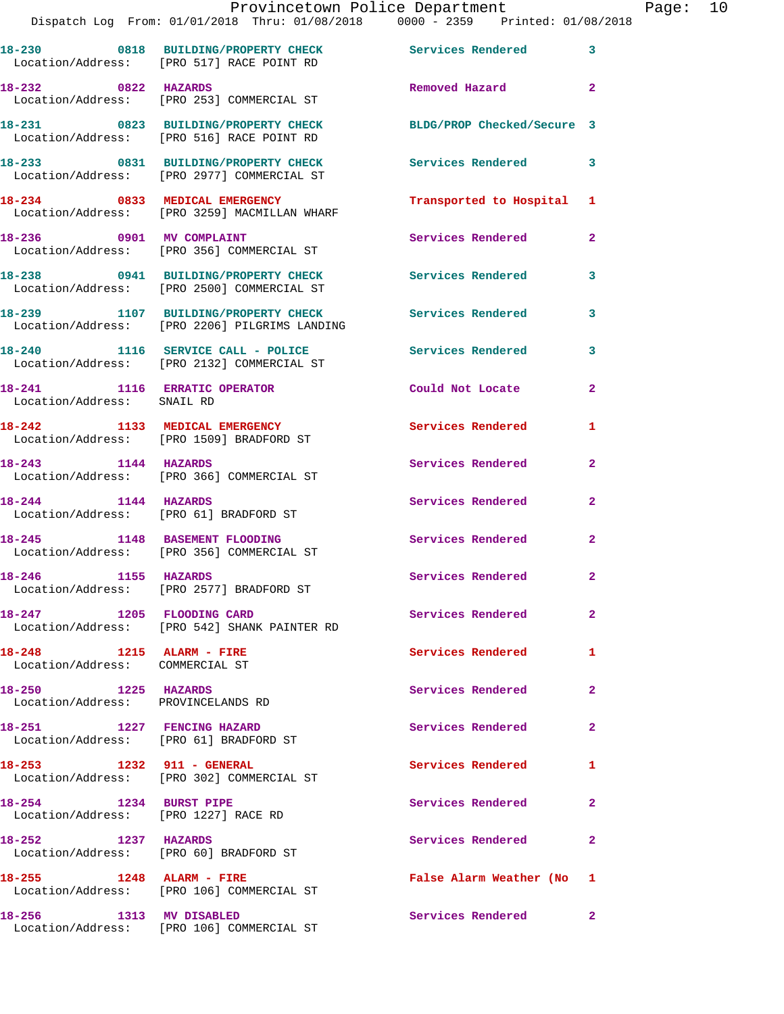|                                                                | Provincetown Police Department<br>Dispatch Log From: 01/01/2018 Thru: 01/08/2018 0000 - 2359 Printed: 01/08/2018 |                            |                |
|----------------------------------------------------------------|------------------------------------------------------------------------------------------------------------------|----------------------------|----------------|
|                                                                |                                                                                                                  |                            |                |
|                                                                | 18-230 0818 BUILDING/PROPERTY CHECK Services Rendered<br>Location/Address: [PRO 517] RACE POINT RD               |                            | 3              |
| 18-232 0822 HAZARDS                                            | Location/Address: [PRO 253] COMMERCIAL ST                                                                        | Removed Hazard             | $\mathbf{2}$   |
|                                                                | 18-231 0823 BUILDING/PROPERTY CHECK<br>Location/Address: [PRO 516] RACE POINT RD                                 | BLDG/PROP Checked/Secure 3 |                |
|                                                                | 18-233 0831 BUILDING/PROPERTY CHECK<br>Location/Address: [PRO 2977] COMMERCIAL ST                                | <b>Services Rendered</b>   | 3              |
|                                                                | 18-234 0833 MEDICAL EMERGENCY<br>Location/Address: [PRO 3259] MACMILLAN WHARF                                    | Transported to Hospital    | 1              |
| 18-236 0901 MV COMPLAINT                                       | Location/Address: [PRO 356] COMMERCIAL ST                                                                        | Services Rendered          | $\mathbf{2}$   |
|                                                                | 18-238 0941 BUILDING/PROPERTY CHECK<br>Location/Address: [PRO 2500] COMMERCIAL ST                                | Services Rendered          | 3              |
|                                                                | 18-239 1107 BUILDING/PROPERTY CHECK<br>Location/Address: [PRO 2206] PILGRIMS LANDING                             | <b>Services Rendered</b>   | 3              |
|                                                                | 18-240 1116 SERVICE CALL - POLICE<br>Location/Address: [PRO 2132] COMMERCIAL ST                                  | <b>Services Rendered</b>   | 3              |
| 18-241 1116 ERRATIC OPERATOR<br>Location/Address: SNAIL RD     |                                                                                                                  | Could Not Locate           | 2              |
|                                                                | 18-242 1133 MEDICAL EMERGENCY<br>Location/Address: [PRO 1509] BRADFORD ST                                        | Services Rendered          | 1              |
| 18-243 1144 HAZARDS                                            | Location/Address: [PRO 366] COMMERCIAL ST                                                                        | Services Rendered          | $\mathbf{2}$   |
| 18-244 1144 HAZARDS                                            | Location/Address: [PRO 61] BRADFORD ST                                                                           | Services Rendered          | $\mathbf{2}$   |
|                                                                | 18-245 1148 BASEMENT FLOODING<br>Location/Address: [PRO 356] COMMERCIAL ST                                       | Services Rendered          | $\overline{a}$ |
| 18-246 1155 HAZARDS                                            | Location/Address: [PRO 2577] BRADFORD ST                                                                         | Services Rendered          |                |
| 18-247 1205 FLOODING CARD                                      | Location/Address: [PRO 542] SHANK PAINTER RD                                                                     | Services Rendered          | $\overline{a}$ |
| 18-248<br>Location/Address: COMMERCIAL ST                      | 1215 ALARM - FIRE                                                                                                | Services Rendered          | 1              |
| 18-250 1225 HAZARDS<br>Location/Address: PROVINCELANDS RD      |                                                                                                                  | Services Rendered          | 2              |
| 18-251                                                         | 1227 FENCING HAZARD<br>Location/Address: [PRO 61] BRADFORD ST                                                    | Services Rendered          | 2              |
| 18-253 1232 911 - GENERAL                                      | Location/Address: [PRO 302] COMMERCIAL ST                                                                        | Services Rendered          | 1              |
| 18-254 1234 BURST PIPE<br>Location/Address: [PRO 1227] RACE RD |                                                                                                                  | Services Rendered          | 2              |
| 18-252 1237 HAZARDS                                            | Location/Address: [PRO 60] BRADFORD ST                                                                           | Services Rendered          | 2              |
| 18-255 1248 ALARM - FIRE                                       | Location/Address: [PRO 106] COMMERCIAL ST                                                                        | False Alarm Weather (No    | 1              |
| 18-256                                                         | 1313 MV DISABLED                                                                                                 | Services Rendered          | $\mathbf{2}$   |

Location/Address: [PRO 106] COMMERCIAL ST

Page: 10<br>18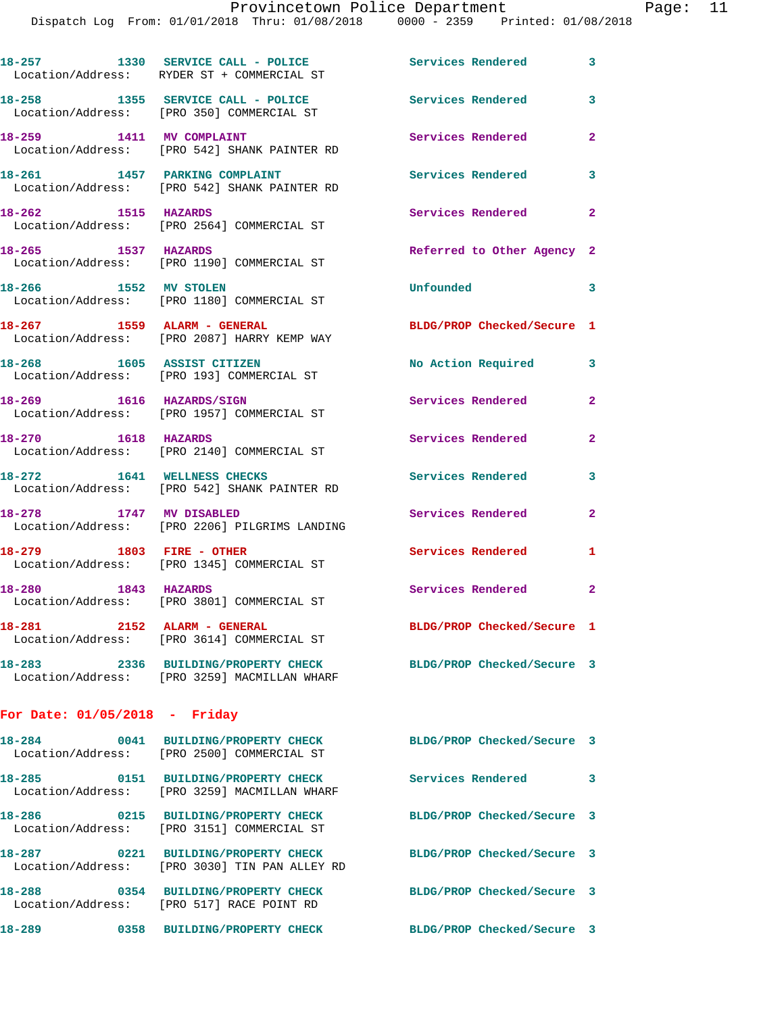|                                 | 18-257 1330 SERVICE CALL - POLICE<br>Location/Address: RYDER ST + COMMERCIAL ST      | <b>Services Rendered</b>   | $\mathbf{3}$   |
|---------------------------------|--------------------------------------------------------------------------------------|----------------------------|----------------|
| 18-258                          | 1355 SERVICE CALL - POLICE<br>Location/Address: [PRO 350] COMMERCIAL ST              | Services Rendered          | 3              |
|                                 | 18-259 1411 MV COMPLAINT<br>Location/Address: [PRO 542] SHANK PAINTER RD             | Services Rendered          | $\mathbf{2}$   |
| 18-261 1457 PARKING COMPLAINT   | Location/Address: [PRO 542] SHANK PAINTER RD                                         | Services Rendered          | 3              |
| 18-262 1515 HAZARDS             | Location/Address: [PRO 2564] COMMERCIAL ST                                           | Services Rendered          | $\mathbf{2}$   |
| 18-265 1537 HAZARDS             | Location/Address: [PRO 1190] COMMERCIAL ST                                           | Referred to Other Agency 2 |                |
| 18-266 1552 MV STOLEN           | Location/Address: [PRO 1180] COMMERCIAL ST                                           | Unfounded                  | 3              |
| $18-267$ 1559 ALARM - GENERAL   | Location/Address: [PRO 2087] HARRY KEMP WAY                                          | BLDG/PROP Checked/Secure 1 |                |
|                                 | 18-268 1605 ASSIST CITIZEN<br>Location/Address: [PRO 193] COMMERCIAL ST              | No Action Required         | 3              |
| 18-269 1616 HAZARDS/SIGN        | Location/Address: [PRO 1957] COMMERCIAL ST                                           | Services Rendered          | $\overline{a}$ |
| 18-270 1618 HAZARDS             | Location/Address: [PRO 2140] COMMERCIAL ST                                           | Services Rendered          | $\mathbf{2}$   |
| 18-272 1641 WELLNESS CHECKS     | Location/Address: [PRO 542] SHANK PAINTER RD                                         | Services Rendered          | 3              |
| 18-278 1747 MV DISABLED         | Location/Address: [PRO 2206] PILGRIMS LANDING                                        | Services Rendered          | $\mathbf{2}$   |
| 18-279 1803 FIRE - OTHER        | Location/Address: [PRO 1345] COMMERCIAL ST                                           | Services Rendered          | 1              |
| 1843 HAZARDS<br>18-280          | Location/Address: [PRO 3801] COMMERCIAL ST                                           | Services Rendered          | $\mathbf{2}$   |
| 18-281                          | 2152 ALARM - GENERAL<br>Location/Address: [PRO 3614] COMMERCIAL ST                   | BLDG/PROP Checked/Secure 1 |                |
|                                 | 18-283 2336 BUILDING/PROPERTY CHECK<br>Location/Address: [PRO 3259] MACMILLAN WHARF  | BLDG/PROP Checked/Secure 3 |                |
| For Date: $01/05/2018$ - Friday |                                                                                      |                            |                |
|                                 | 18-284 0041 BUILDING/PROPERTY CHECK<br>Location/Address: [PRO 2500] COMMERCIAL ST    | BLDG/PROP Checked/Secure 3 |                |
|                                 | 18-285 0151 BUILDING/PROPERTY CHECK<br>Location/Address: [PRO 3259] MACMILLAN WHARF  | Services Rendered 3        |                |
|                                 | 18-286 0215 BUILDING/PROPERTY CHECK<br>Location/Address: [PRO 3151] COMMERCIAL ST    | BLDG/PROP Checked/Secure 3 |                |
|                                 | 18-287 0221 BUILDING/PROPERTY CHECK<br>Location/Address: [PRO 3030] TIN PAN ALLEY RD | BLDG/PROP Checked/Secure 3 |                |
| 18-288                          | 0354 BUILDING/PROPERTY CHECK                                                         | BLDG/PROP Checked/Secure 3 |                |

**18-289 0358 BUILDING/PROPERTY CHECK BLDG/PROP Checked/Secure 3** 

Location/Address: [PRO 517] RACE POINT RD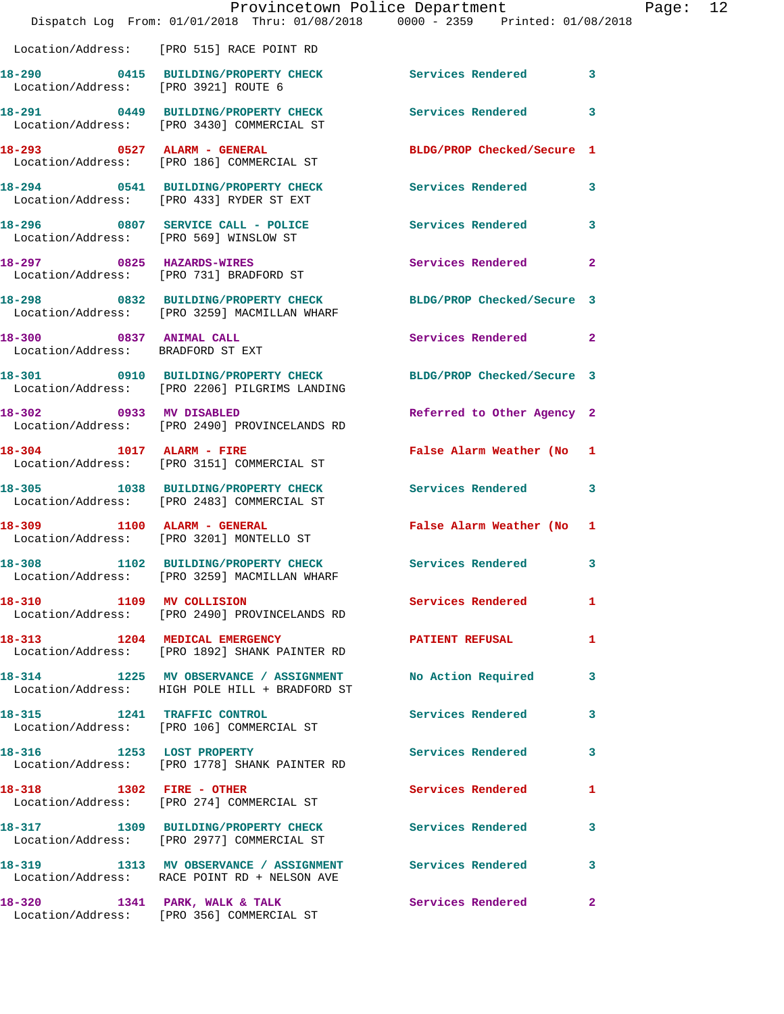|                                                              |                                                                                                                 | Provincetown Police Department |              | Page: 12 |  |
|--------------------------------------------------------------|-----------------------------------------------------------------------------------------------------------------|--------------------------------|--------------|----------|--|
|                                                              | Dispatch Log From: 01/01/2018 Thru: 01/08/2018   0000 - 2359   Printed: 01/08/2018                              |                                |              |          |  |
|                                                              | Location/Address: [PRO 515] RACE POINT RD                                                                       |                                |              |          |  |
| Location/Address: [PRO 3921] ROUTE 6                         | 18-290 0415 BUILDING/PROPERTY CHECK Services Rendered 3                                                         |                                |              |          |  |
|                                                              | 18-291 0449 BUILDING/PROPERTY CHECK Services Rendered 3<br>Location/Address: [PRO 3430] COMMERCIAL ST           |                                |              |          |  |
|                                                              | 18-293 0527 ALARM - GENERAL<br>Location/Address: [PRO 186] COMMERCIAL ST                                        | BLDG/PROP Checked/Secure 1     |              |          |  |
|                                                              | 18-294 0541 BUILDING/PROPERTY CHECK Services Rendered 3<br>Location/Address: [PRO 433] RYDER ST EXT             |                                |              |          |  |
|                                                              | 18-296 0807 SERVICE CALL - POLICE<br>Location/Address: [PRO 569] WINSLOW ST                                     | Services Rendered              | 3            |          |  |
|                                                              | 18-297 0825 HAZARDS-WIRES<br>Location/Address: [PRO 731] BRADFORD ST                                            | Services Rendered 2            |              |          |  |
|                                                              | 18-298 0832 BUILDING/PROPERTY CHECK BLDG/PROP Checked/Secure 3<br>Location/Address: [PRO 3259] MACMILLAN WHARF  |                                |              |          |  |
| 18-300 0837 ANIMAL CALL<br>Location/Address: BRADFORD ST EXT |                                                                                                                 | Services Rendered 2            |              |          |  |
|                                                              | 18-301 0910 BUILDING/PROPERTY CHECK BLDG/PROP Checked/Secure 3<br>Location/Address: [PRO 2206] PILGRIMS LANDING |                                |              |          |  |
| 18-302 0933 MV DISABLED                                      | Location/Address: [PRO 2490] PROVINCELANDS RD                                                                   | Referred to Other Agency 2     |              |          |  |
|                                                              | 18-304 1017 ALARM - FIRE<br>Location/Address: [PRO 3151] COMMERCIAL ST                                          | False Alarm Weather (No 1      |              |          |  |
|                                                              | 18-305 1038 BUILDING/PROPERTY CHECK<br>Location/Address: [PRO 2483] COMMERCIAL ST                               | Services Rendered 3            |              |          |  |
|                                                              | 18-309 1100 ALARM - GENERAL<br>Location/Address: [PRO 3201] MONTELLO ST                                         | False Alarm Weather (No 1      |              |          |  |
|                                                              | 18-308 1102 BUILDING/PROPERTY CHECK<br>Location/Address: [PRO 3259] MACMILLAN WHARF                             | Services Rendered 3            |              |          |  |
| 18-310 1109 MV COLLISION                                     | Location/Address: [PRO 2490] PROVINCELANDS RD                                                                   | Services Rendered              | $\mathbf{1}$ |          |  |
|                                                              | 18-313 1204 MEDICAL EMERGENCY<br>Location/Address: [PRO 1892] SHANK PAINTER RD                                  | PATIENT REFUSAL                | $\mathbf{1}$ |          |  |
|                                                              | 18-314 1225 MV OBSERVANCE / ASSIGNMENT<br>Location/Address: HIGH POLE HILL + BRADFORD ST                        | No Action Required             | 3            |          |  |
| 18-315 1241 TRAFFIC CONTROL                                  | Location/Address: [PRO 106] COMMERCIAL ST                                                                       | Services Rendered              | 3            |          |  |
|                                                              | 18-316 1253 LOST PROPERTY<br>Location/Address: [PRO 1778] SHANK PAINTER RD                                      | Services Rendered              | 3            |          |  |
| 18-318 1302 FIRE - OTHER                                     | Location/Address: [PRO 274] COMMERCIAL ST                                                                       | Services Rendered              | 1            |          |  |
|                                                              | 18-317 1309 BUILDING/PROPERTY CHECK Services Rendered<br>Location/Address: [PRO 2977] COMMERCIAL ST             |                                | 3            |          |  |
|                                                              | 18-319 1313 MV OBSERVANCE / ASSIGNMENT Services Rendered<br>Location/Address: RACE POINT RD + NELSON AVE        |                                | 3            |          |  |
| 18-320                                                       | 1341 PARK, WALK & TALK                                                                                          | Services Rendered 2            |              |          |  |

Location/Address: [PRO 356] COMMERCIAL ST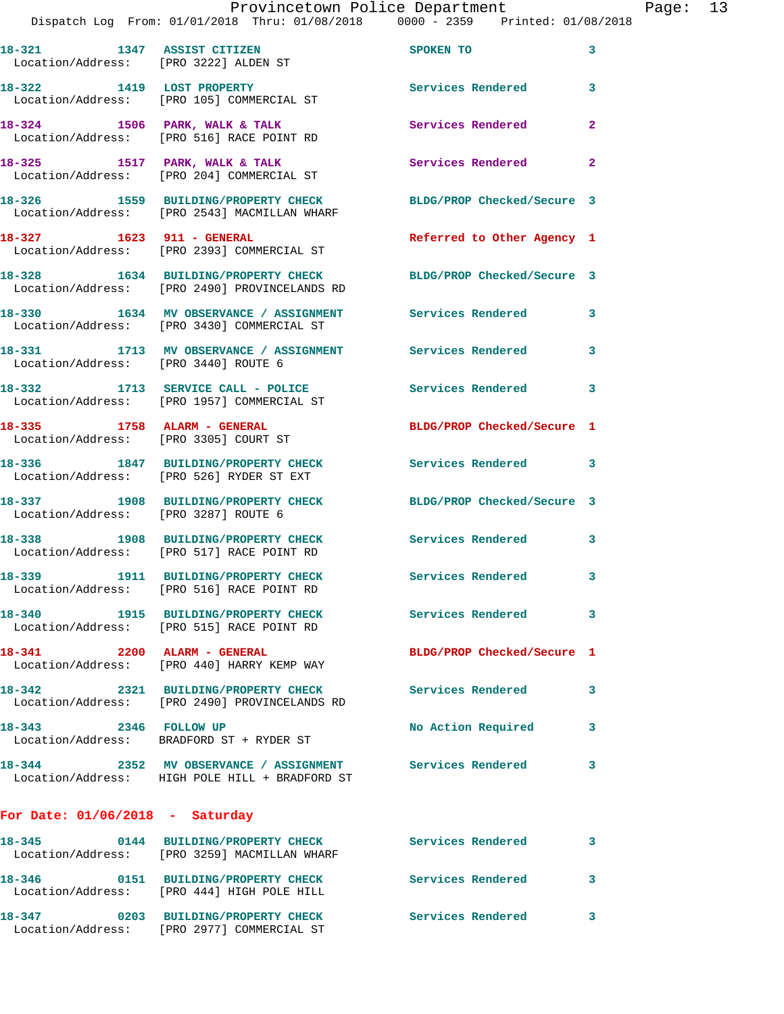|                                       |                                                                                                                 | Provincetown Police Department |                         | Page: 13 |  |
|---------------------------------------|-----------------------------------------------------------------------------------------------------------------|--------------------------------|-------------------------|----------|--|
|                                       | Dispatch Log From: 01/01/2018 Thru: 01/08/2018 0000 - 2359 Printed: 01/08/2018                                  |                                |                         |          |  |
| Location/Address: [PRO 3222] ALDEN ST | 18-321 1347 ASSIST CITIZEN                                                                                      | SPOKEN TO                      | $\overline{\mathbf{3}}$ |          |  |
|                                       | 18-322 1419 LOST PROPERTY<br>Location/Address: [PRO 105] COMMERCIAL ST                                          | Services Rendered              | 3                       |          |  |
|                                       | 18-324 1506 PARK, WALK & TALK 1999 Services Rendered<br>Location/Address: [PRO 516] RACE POINT RD               |                                | $\overline{2}$          |          |  |
|                                       | $18-325$ 1517 PARK, WALK & TALK<br>Location/Address: [PRO 204] COMMERCIAL ST                                    | <b>Services Rendered</b>       | $\overline{2}$          |          |  |
|                                       | 18-326 1559 BUILDING/PROPERTY CHECK BLDG/PROP Checked/Secure 3<br>Location/Address: [PRO 2543] MACMILLAN WHARF  |                                |                         |          |  |
|                                       | 18-327 1623 911 - GENERAL<br>Location/Address: [PRO 2393] COMMERCIAL ST                                         | Referred to Other Agency 1     |                         |          |  |
|                                       | 18-328 1634 BUILDING/PROPERTY CHECK BLDG/PROP Checked/Secure 3<br>Location/Address: [PRO 2490] PROVINCELANDS RD |                                |                         |          |  |

**18-330 1634 MV OBSERVANCE / ASSIGNMENT Services Rendered 3**  Location/Address: [PRO 3430] COMMERCIAL ST

18-331 1713 MV OBSERVANCE / ASSIGNMENT Services Rendered 3 Location/Address: [PRO 3440] ROUTE 6

**18-332 1713 SERVICE CALL - POLICE Services Rendered 3**  Location/Address: [PRO 1957] COMMERCIAL ST

**18-335 1758 ALARM - GENERAL BLDG/PROP Checked/Secure 1**  Location/Address: [PRO 3305] COURT ST

**18-336 1847 BUILDING/PROPERTY CHECK Services Rendered 3**  Location/Address: [PRO 526] RYDER ST EXT

**18-337 1908 BUILDING/PROPERTY CHECK BLDG/PROP Checked/Secure 3**  Location/Address: [PRO 3287] ROUTE 6

**18-338 1908 BUILDING/PROPERTY CHECK Services Rendered 3**  Location/Address: [PRO 517] RACE POINT RD

**18-339 1911 BUILDING/PROPERTY CHECK Services Rendered 3**  Location/Address: [PRO 516] RACE POINT RD

**18-340 1915 BUILDING/PROPERTY CHECK Services Rendered 3**  Location/Address: [PRO 515] RACE POINT RD

**18-341 2200 ALARM - GENERAL BLDG/PROP Checked/Secure 1**  Location/Address: [PRO 440] HARRY KEMP WAY

**18-342 2321 BUILDING/PROPERTY CHECK Services Rendered 3**  Location/Address: [PRO 2490] PROVINCELANDS RD

18-343 2346 FOLLOW UP No Action Required 3

Location/Address: BRADFORD ST + RYDER ST

**18-344 2352 MV OBSERVANCE / ASSIGNMENT Services Rendered 3**  Location/Address: HIGH POLE HILL + BRADFORD ST

## **For Date: 01/06/2018 - Saturday**

| $18 - 345$<br>Location/Address: | 0144 | <b>BUILDING/PROPERTY CHECK</b><br>[PRO 3259] MACMILLAN WHARF | Services Rendered |  |
|---------------------------------|------|--------------------------------------------------------------|-------------------|--|
| $18 - 346$<br>Location/Address: | 0151 | <b>BUILDING/PROPERTY CHECK</b><br>[PRO 444] HIGH POLE HILL   | Services Rendered |  |
| 18-347<br>Location/Address:     | 0203 | <b>BUILDING/PROPERTY CHECK</b><br>[PRO 2977] COMMERCIAL ST   | Services Rendered |  |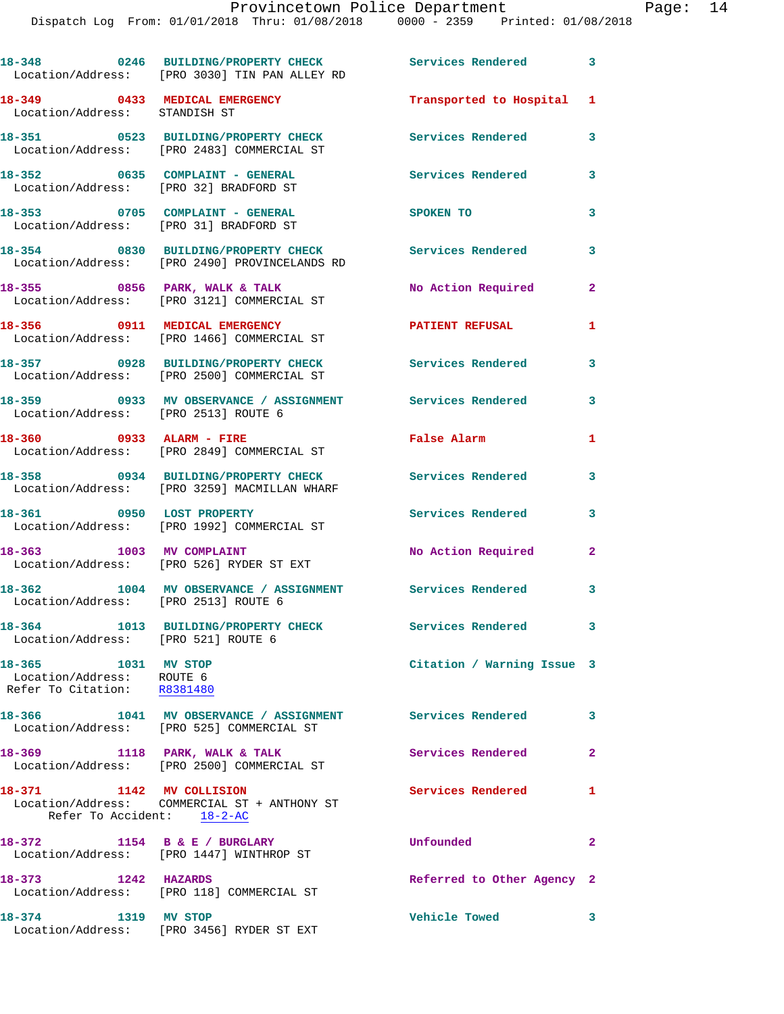|                                                                                 | 18-348 0246 BUILDING/PROPERTY CHECK<br>Location/Address: [PRO 3030] TIN PAN ALLEY RD                  | Services Rendered 3        |              |
|---------------------------------------------------------------------------------|-------------------------------------------------------------------------------------------------------|----------------------------|--------------|
| 18-349 0433 MEDICAL EMERGENCY<br>Location/Address: STANDISH ST                  |                                                                                                       | Transported to Hospital 1  |              |
|                                                                                 | 18-351 0523 BUILDING/PROPERTY CHECK<br>Location/Address: [PRO 2483] COMMERCIAL ST                     | Services Rendered          | 3            |
| 18-352 0635 COMPLAINT - GENERAL<br>Location/Address: [PRO 32] BRADFORD ST       |                                                                                                       | Services Rendered          | 3            |
| 18-353 0705 COMPLAINT - GENERAL<br>Location/Address: [PRO 31] BRADFORD ST       |                                                                                                       | SPOKEN TO                  | 3            |
|                                                                                 | 18-354 0830 BUILDING/PROPERTY CHECK<br>Location/Address: [PRO 2490] PROVINCELANDS RD                  | Services Rendered          | 3            |
|                                                                                 | 18-355 0856 PARK, WALK & TALK<br>Location/Address: [PRO 3121] COMMERCIAL ST                           | No Action Required         | $\mathbf{2}$ |
|                                                                                 | 18-356 0911 MEDICAL EMERGENCY<br>Location/Address: [PRO 1466] COMMERCIAL ST                           | <b>PATIENT REFUSAL</b>     | 1            |
|                                                                                 | 18-357 0928 BUILDING/PROPERTY CHECK<br>Location/Address: [PRO 2500] COMMERCIAL ST                     | Services Rendered          | 3            |
| Location/Address: [PRO 2513] ROUTE 6                                            | 18-359 0933 MV OBSERVANCE / ASSIGNMENT Services Rendered                                              |                            | 3            |
| 18-360 0933 ALARM - FIRE                                                        | Location/Address: [PRO 2849] COMMERCIAL ST                                                            | False Alarm                | 1            |
|                                                                                 | 18-358 0934 BUILDING/PROPERTY CHECK<br>Location/Address: [PRO 3259] MACMILLAN WHARF                   | <b>Services Rendered</b>   | 3            |
| 18-361 0950 LOST PROPERTY                                                       | Location/Address: [PRO 1992] COMMERCIAL ST                                                            | Services Rendered          | 3            |
|                                                                                 | 18-363 1003 MV COMPLAINT<br>Location/Address: [PRO 526] RYDER ST EXT                                  | <b>No Action Required</b>  | $\mathbf{2}$ |
| Location/Address: [PRO 2513] ROUTE 6                                            | 18-362 1004 MV OBSERVANCE / ASSIGNMENT Services Rendered                                              |                            | 3            |
| Location/Address: [PRO 521] ROUTE 6                                             | 18-364 1013 BUILDING/PROPERTY CHECK                                                                   | <b>Services Rendered</b>   | 3            |
| 18-365 1031 MV STOP<br>Location/Address: ROUTE 6<br>Refer To Citation: R8381480 |                                                                                                       | Citation / Warning Issue 3 |              |
|                                                                                 | 18-366 1041 MV OBSERVANCE / ASSIGNMENT Services Rendered<br>Location/Address: [PRO 525] COMMERCIAL ST |                            | 3            |
| 18-369 1118 PARK, WALK & TALK                                                   | Location/Address: [PRO 2500] COMMERCIAL ST                                                            | Services Rendered 2        |              |
| 18-371 1142 MV COLLISION<br>Refer To Accident: 18-2-AC                          | Location/Address: COMMERCIAL ST + ANTHONY ST                                                          | Services Rendered          | 1            |
| 18-372 1154 B & E / BURGLARY                                                    | Location/Address: [PRO 1447] WINTHROP ST                                                              | Unfounded                  | $\mathbf{2}$ |
| 18-373 1242 HAZARDS                                                             | Location/Address: [PRO 118] COMMERCIAL ST                                                             | Referred to Other Agency 2 |              |
| 18-374 1319 MV STOP                                                             | Location/Address: [PRO 3456] RYDER ST EXT                                                             | Vehicle Towed              | 3            |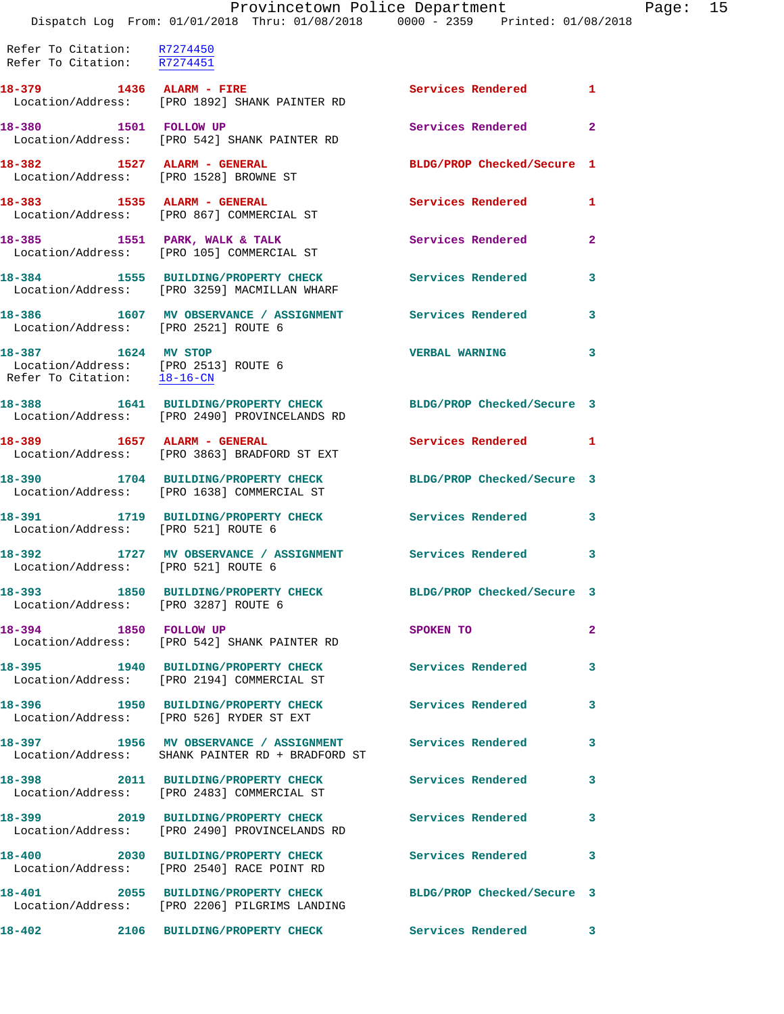## Provincetown Police Department Fage: 15

Dispatch Log From: 01/01/2018 Thru: 01/08/2018 0000 - 2359 Printed: 01/08/2018

 Refer To Citation: R7274450 Refer To Citation: R7274451

**18-379 1436 ALARM - FIRE Services Rendered 1**  Location/Address: [PRO 1892] SHANK PAINTER RD 18-380 1501 FOLLOW UP **18-380** Services Rendered 2 Location/Address: [PRO 542] SHANK PAINTER RD **18-382 1527 ALARM - GENERAL BLDG/PROP Checked/Secure 1**  Location/Address: [PRO 1528] BROWNE ST **18-383 1535 ALARM - GENERAL Services Rendered 1**  Location/Address: [PRO 867] COMMERCIAL ST **18-385 1551 PARK, WALK & TALK Services Rendered 2**  Location/Address: [PRO 105] COMMERCIAL ST **18-384 1555 BUILDING/PROPERTY CHECK Services Rendered 3**  Location/Address: [PRO 3259] MACMILLAN WHARF **18-386 1607 MV OBSERVANCE / ASSIGNMENT Services Rendered 3**  Location/Address: [PRO 2521] ROUTE 6 **18-387 1624 MV STOP VERBAL WARNING 3**  Location/Address: [PRO 2513] ROUTE 6 Refer To Citation: 18-16-CN **18-388 1641 BUILDING/PROPERTY CHECK BLDG/PROP Checked/Secure 3**  Location/Address: [PRO 2490] PROVINCELANDS RD 18-389 1657 ALARM - GENERAL **Services Rendered 1**  Location/Address: [PRO 3863] BRADFORD ST EXT **18-390 1704 BUILDING/PROPERTY CHECK BLDG/PROP Checked/Secure 3**  Location/Address: [PRO 1638] COMMERCIAL ST **18-391 1719 BUILDING/PROPERTY CHECK Services Rendered 3**  Location/Address: [PRO 521] ROUTE 6 **18-392 1727 MV OBSERVANCE / ASSIGNMENT Services Rendered 3**  Location/Address: [PRO 521] ROUTE 6 **18-393 1850 BUILDING/PROPERTY CHECK BLDG/PROP Checked/Secure 3**  Location/Address: [PRO 3287] ROUTE 6 **18-394 1850 FOLLOW UP SPOKEN TO 2**  Location/Address: [PRO 542] SHANK PAINTER RD **18-395 1940 BUILDING/PROPERTY CHECK Services Rendered 3**  Location/Address: [PRO 2194] COMMERCIAL ST **18-396 1950 BUILDING/PROPERTY CHECK Services Rendered 3**  Location/Address: [PRO 526] RYDER ST EXT **18-397 1956 MV OBSERVANCE / ASSIGNMENT Services Rendered 3**  Location/Address: SHANK PAINTER RD + BRADFORD ST **18-398 2011 BUILDING/PROPERTY CHECK Services Rendered 3**  Location/Address: [PRO 2483] COMMERCIAL ST **18-399 2019 BUILDING/PROPERTY CHECK Services Rendered 3**  Location/Address: [PRO 2490] PROVINCELANDS RD **18-400 2030 BUILDING/PROPERTY CHECK Services Rendered 3**  Location/Address: [PRO 2540] RACE POINT RD **18-401 2055 BUILDING/PROPERTY CHECK BLDG/PROP Checked/Secure 3**  Location/Address: [PRO 2206] PILGRIMS LANDING **18-402 2106 BUILDING/PROPERTY CHECK Services Rendered 3**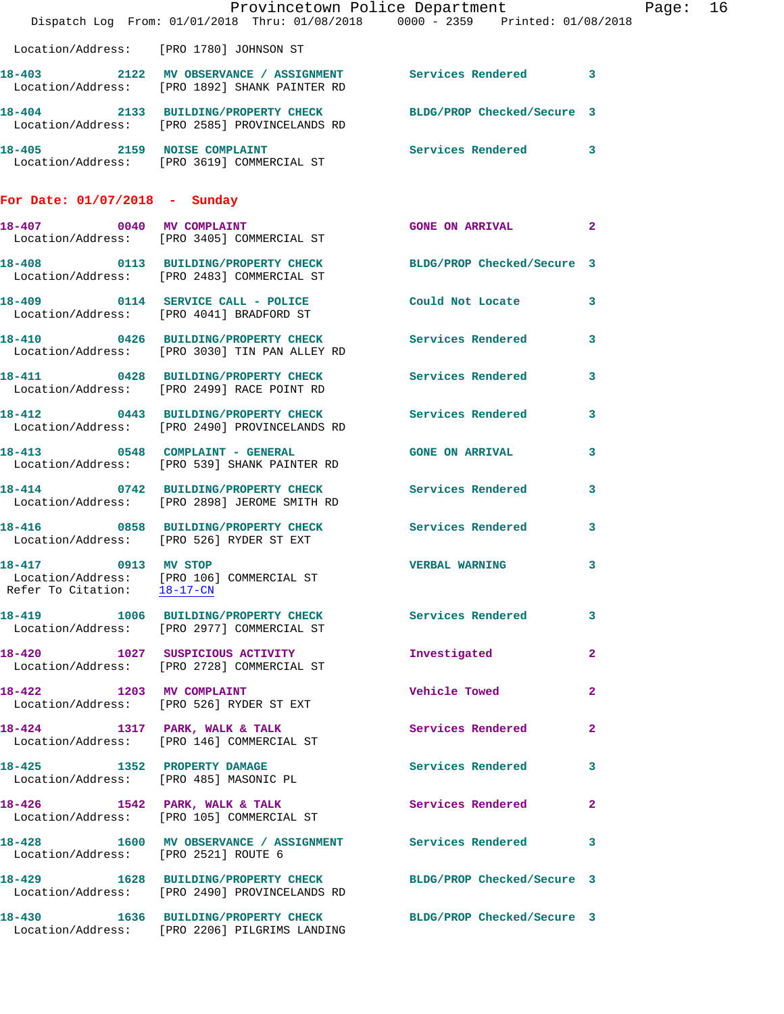|                                                    | Dispatch Log From: 01/01/2018 Thru: 01/08/2018 0000 - 2359 Printed: 01/08/2018                                  | Provincetown Police Department |              | Page: 16 |  |
|----------------------------------------------------|-----------------------------------------------------------------------------------------------------------------|--------------------------------|--------------|----------|--|
| Location/Address: [PRO 1780] JOHNSON ST            |                                                                                                                 |                                |              |          |  |
|                                                    | 18-403 2122 MV OBSERVANCE / ASSIGNMENT Services Rendered 3<br>Location/Address: [PRO 1892] SHANK PAINTER RD     |                                |              |          |  |
|                                                    | 18-404 2133 BUILDING/PROPERTY CHECK BLDG/PROP Checked/Secure 3<br>Location/Address: [PRO 2585] PROVINCELANDS RD |                                |              |          |  |
|                                                    | 18-405 2159 NOISE COMPLAINT<br>Location/Address: [PRO 3619] COMMERCIAL ST                                       | Services Rendered 3            |              |          |  |
| For Date: $01/07/2018$ - Sunday                    |                                                                                                                 |                                |              |          |  |
|                                                    | 18-407 0040 MV COMPLAINT<br>Location/Address: [PRO 3405] COMMERCIAL ST                                          | GONE ON ARRIVAL 2              |              |          |  |
|                                                    | 18-408 0113 BUILDING/PROPERTY CHECK BLDG/PROP Checked/Secure 3<br>Location/Address: [PRO 2483] COMMERCIAL ST    |                                |              |          |  |
|                                                    | 18-409 0114 SERVICE CALL - POLICE COULD Not Locate 3<br>Location/Address: [PRO 4041] BRADFORD ST                |                                |              |          |  |
|                                                    | 18-410 0426 BUILDING/PROPERTY CHECK Services Rendered 3<br>Location/Address: [PRO 3030] TIN PAN ALLEY RD        |                                |              |          |  |
|                                                    | 18-411 0428 BUILDING/PROPERTY CHECK Services Rendered<br>Location/Address: [PRO 2499] RACE POINT RD             |                                | 3            |          |  |
|                                                    | 18-412 0443 BUILDING/PROPERTY CHECK Services Rendered<br>Location/Address: [PRO 2490] PROVINCELANDS RD          |                                | $\mathbf{3}$ |          |  |
|                                                    | 18-413 0548 COMPLAINT - GENERAL<br>Location/Address: [PRO 539] SHANK PAINTER RD                                 | <b>GONE ON ARRIVAL</b>         | 3            |          |  |
|                                                    | 18-414 0742 BUILDING/PROPERTY CHECK Services Rendered 3<br>Location/Address: [PRO 2898] JEROME SMITH RD         |                                |              |          |  |
|                                                    | 18-416 		 0858 BUILDING/PROPERTY CHECK Services Rendered<br>Location/Address: [PRO 526] RYDER ST EXT            |                                | 3            |          |  |
| 18-417 0913 MV STOP<br>Refer To Citation: 18-17-CN | Location/Address: [PRO 106] COMMERCIAL ST                                                                       | <b>VERBAL WARNING</b>          | 3            |          |  |
|                                                    | 18-419 1006 BUILDING/PROPERTY CHECK Services Rendered 3<br>Location/Address: [PRO 2977] COMMERCIAL ST           |                                |              |          |  |
|                                                    | 18-420 1027 SUSPICIOUS ACTIVITY<br>Location/Address: [PRO 2728] COMMERCIAL ST                                   | Investigated                   | $\mathbf{2}$ |          |  |
| 18-422 1203 MV COMPLAINT                           | Location/Address: [PRO 526] RYDER ST EXT                                                                        | Vehicle Towed                  | $\mathbf{2}$ |          |  |
|                                                    | 18-424 1317 PARK, WALK & TALK<br>Location/Address: [PRO 146] COMMERCIAL ST                                      | Services Rendered              | $\mathbf{2}$ |          |  |
|                                                    | 18-425 1352 PROPERTY DAMAGE<br>Location/Address: [PRO 485] MASONIC PL                                           | Services Rendered              | 3            |          |  |
|                                                    | 18-426 1542 PARK, WALK & TALK<br>Location/Address: [PRO 105] COMMERCIAL ST                                      | <b>Services Rendered</b> 2     |              |          |  |
| Location/Address: [PRO 2521] ROUTE 6               | 18-428 1600 MV OBSERVANCE / ASSIGNMENT Services Rendered                                                        |                                | 3            |          |  |
|                                                    | 18-429 1628 BUILDING/PROPERTY CHECK BLDG/PROP Checked/Secure 3<br>Location/Address: [PRO 2490] PROVINCELANDS RD |                                |              |          |  |
|                                                    | 18-430 1636 BUILDING/PROPERTY CHECK BLDG/PROP Checked/Secure 3<br>Location/Address: [PRO 2206] PILGRIMS LANDING |                                |              |          |  |
|                                                    |                                                                                                                 |                                |              |          |  |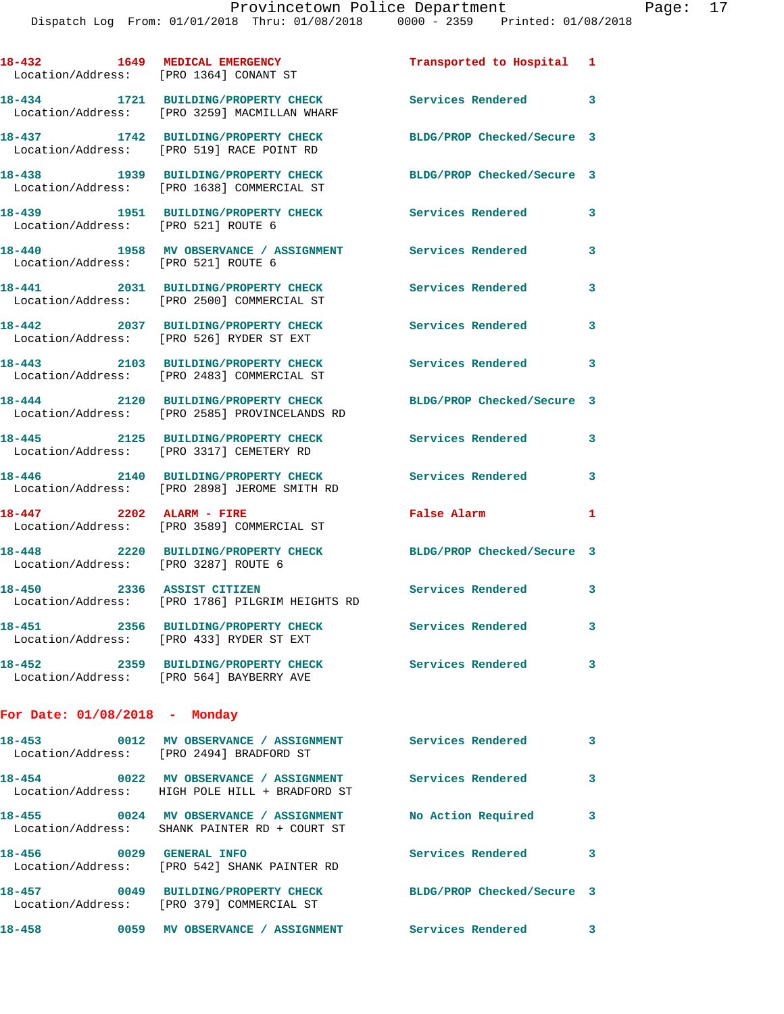| 18-432 1649 MEDICAL EMERGENCY<br>Location/Address: [PRO 1364] CONANT ST |                                                                                                                                   | Transported to Hospital 1  |              |
|-------------------------------------------------------------------------|-----------------------------------------------------------------------------------------------------------------------------------|----------------------------|--------------|
|                                                                         | 18-434 1721 BUILDING/PROPERTY CHECK<br>Location/Address: [PRO 3259] MACMILLAN WHARF                                               | Services Rendered 3        |              |
|                                                                         | 18-437 1742 BUILDING/PROPERTY CHECK<br>Location/Address: [PRO 519] RACE POINT RD                                                  | BLDG/PROP Checked/Secure 3 |              |
|                                                                         | 18-438 1939 BUILDING/PROPERTY CHECK<br>Location/Address: [PRO 1638] COMMERCIAL ST                                                 | BLDG/PROP Checked/Secure 3 |              |
| Location/Address: [PRO 521] ROUTE 6                                     | 18-439 1951 BUILDING/PROPERTY CHECK                                                                                               | Services Rendered          | 3            |
|                                                                         | 18-440              1958    MV OBSERVANCE / ASSIGNMENT               Services Rendered<br>Location/Address:     [PRO 521] ROUTE 6 |                            | 3            |
|                                                                         | 18-441 2031 BUILDING/PROPERTY CHECK<br>Location/Address: [PRO 2500] COMMERCIAL ST                                                 | Services Rendered          | 3            |
|                                                                         | 18-442 2037 BUILDING/PROPERTY CHECK<br>Location/Address: [PRO 526] RYDER ST EXT                                                   | <b>Services Rendered</b>   | 3            |
|                                                                         | 18-443 2103 BUILDING/PROPERTY CHECK<br>Location/Address: [PRO 2483] COMMERCIAL ST                                                 | <b>Services Rendered</b>   | 3            |
|                                                                         | 18-444 2120 BUILDING/PROPERTY CHECK<br>Location/Address: [PRO 2585] PROVINCELANDS RD                                              | BLDG/PROP Checked/Secure 3 |              |
|                                                                         | 18-445 2125 BUILDING/PROPERTY CHECK<br>Location/Address: [PRO 3317] CEMETERY RD                                                   | <b>Services Rendered</b>   | 3            |
| 18-446                                                                  | 2140 BUILDING/PROPERTY CHECK<br>Location/Address: [PRO 2898] JEROME SMITH RD                                                      | Services Rendered          | 3            |
| $18-447$ 2202 ALARM - FIRE                                              | Location/Address: [PRO 3589] COMMERCIAL ST                                                                                        | False Alarm                | 1            |
| 18-448<br>Location/Address: [PRO 3287] ROUTE 6                          | 2220 BUILDING/PROPERTY CHECK                                                                                                      | BLDG/PROP Checked/Secure 3 |              |
| 18-450 2336 ASSIST CITIZEN                                              | Location/Address: [PRO 1786] PILGRIM HEIGHTS RD                                                                                   | Services Rendered          | $\mathbf{3}$ |
| 18-451                                                                  | 2356 BUILDING/PROPERTY CHECK<br>Location/Address: [PRO 433] RYDER ST EXT                                                          | Services Rendered          | 3            |
|                                                                         | 18-452 2359 BUILDING/PROPERTY CHECK<br>Location/Address: [PRO 564] BAYBERRY AVE                                                   | Services Rendered          | 3            |
| For Date: $01/08/2018$ - Monday                                         |                                                                                                                                   |                            |              |
|                                                                         | 18-453 0012 MV OBSERVANCE / ASSIGNMENT<br>Location/Address: [PRO 2494] BRADFORD ST                                                | <b>Services Rendered</b>   | 3            |
| 18-454                                                                  | 0022 MV OBSERVANCE / ASSIGNMENT<br>Location/Address: HIGH POLE HILL + BRADFORD ST                                                 | <b>Services Rendered</b>   | 3            |
|                                                                         | 18-455 0024 MV OBSERVANCE / ASSIGNMENT No Action Required<br>Location/Address: SHANK PAINTER RD + COURT ST                        |                            | 3            |
| 0029 GENERAL INFO<br>18-456                                             | Location/Address: [PRO 542] SHANK PAINTER RD                                                                                      | Services Rendered          | 3            |

- **18-457 0049 BUILDING/PROPERTY CHECK BLDG/PROP Checked/Secure 3**  Location/Address: [PRO 379] COMMERCIAL ST
- **18-458 0059 MV OBSERVANCE / ASSIGNMENT Services Rendered 3**